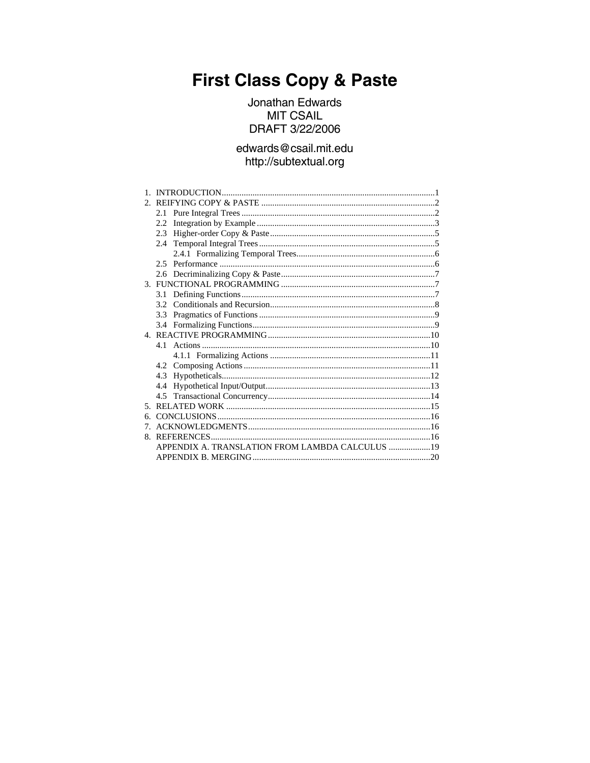# **First Class Copy & Paste**

Jonathan Edwards **MIT CSAIL** DRAFT 3/22/2006

# edwards@csail.mit.edu http://subtextual.org

|                                                 | 2.2              |  |  |  |
|-------------------------------------------------|------------------|--|--|--|
|                                                 | 2.3              |  |  |  |
|                                                 | 2.4              |  |  |  |
|                                                 |                  |  |  |  |
|                                                 |                  |  |  |  |
|                                                 |                  |  |  |  |
|                                                 |                  |  |  |  |
|                                                 |                  |  |  |  |
|                                                 | 3.2 <sub>1</sub> |  |  |  |
|                                                 | 3.3              |  |  |  |
|                                                 |                  |  |  |  |
|                                                 |                  |  |  |  |
|                                                 |                  |  |  |  |
|                                                 |                  |  |  |  |
|                                                 |                  |  |  |  |
|                                                 |                  |  |  |  |
|                                                 | 4.4              |  |  |  |
|                                                 |                  |  |  |  |
|                                                 |                  |  |  |  |
| б.                                              |                  |  |  |  |
| 7                                               |                  |  |  |  |
| 8.                                              |                  |  |  |  |
| APPENDIX A. TRANSLATION FROM LAMBDA CALCULUS 19 |                  |  |  |  |
|                                                 |                  |  |  |  |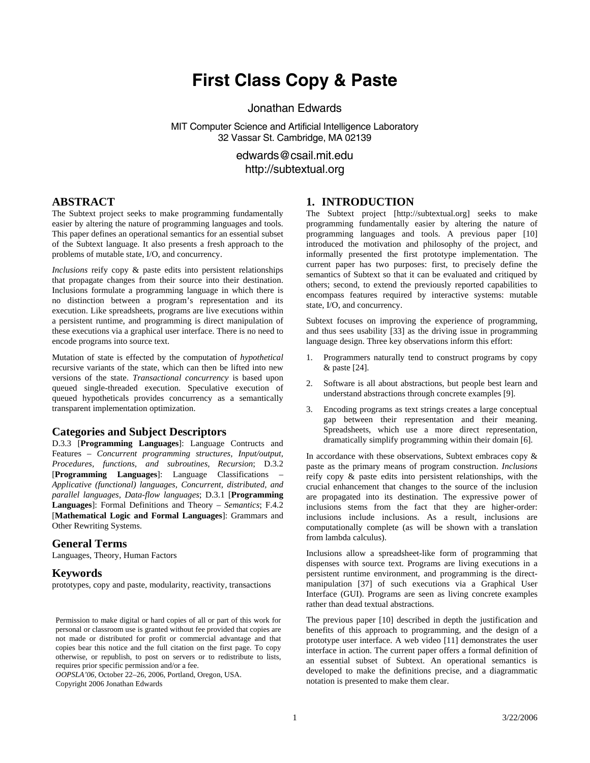# **First Class Copy & Paste**

Jonathan Edwards

MIT Computer Science and Artificial Intelligence Laboratory 32 Vassar St. Cambridge, MA 02139

> [edwards@csail.mit.edu](mailto:edwards@csail.mit.edu)  [http://subtextual.org](http://subtextual.org/)

# <span id="page-2-0"></span>**ABSTRACT**

The Subtext project seeks to make programming fundamentally easier by altering the nature of programming languages and tools. This paper defines an operational semantics for an essential subset of the Subtext language. It also presents a fresh approach to the problems of mutable state, I/O, and concurrency.

*Inclusions* reify copy & paste edits into persistent relationships that propagate changes from their source into their destination. Inclusions formulate a programming language in which there is no distinction between a program's representation and its execution. Like spreadsheets, programs are live executions within a persistent runtime, and programming is direct manipulation of these executions via a graphical user interface. There is no need to encode programs into source text.

Mutation of state is effected by the computation of *hypothetical* recursive variants of the state, which can then be lifted into new versions of the state. *Transactional concurrency* is based upon queued single-threaded execution. Speculative execution of queued hypotheticals provides concurrency as a semantically transparent implementation optimization.

#### **Categories and Subject Descriptors**

D.3.3 [**Programming Languages**]: Language Contructs and Features – *Concurrent programming structures, Input/output, Procedures, functions, and subroutines, Recursion*; D.3.2 [**Programming Languages**]: Language Classifications – *Applicative (functional) languages, Concurrent, distributed, and parallel languages, Data-flow languages*; D.3.1 [**Programming Languages**]: Formal Definitions and Theory – *Semantics*; F.4.2 [**Mathematical Logic and Formal Languages**]: Grammars and Other Rewriting Systems.

#### **General Terms**

Languages, Theory, Human Factors

#### **Keywords**

prototypes, copy and paste, modularity, reactivity, transactions

*OOPSLA'06*, October 22–26, 2006, Portland, Oregon, USA. Copyright 2006 Jonathan Edwards

### **1. INTRODUCTION**

The Subtext project [[http://subtextual.org\]](http://subtextual.org/) seeks to make programming fundamentally easier by altering the nature of programming languages and tools. A previous paper [\[10\]](#page-18-0) introduced the motivation and philosophy of the project, and informally presented the first prototype implementation. The current paper has two purposes: first, to precisely define the semantics of Subtext so that it can be evaluated and critiqued by others; second, to extend the previously reported capabilities to encompass features required by interactive systems: mutable state, I/O, and concurrency.

Subtext focuses on improving the experience of programming, and thus sees usability [\[33\]](#page-18-1) as the driving issue in programming language design. Three key observations inform this effort:

- 1. Programmers naturally tend to construct programs by copy & paste [\[24\].](#page-18-2)
- 2. Software is all about abstractions, but people best learn and understand abstractions through concrete examples [\[9\].](#page-18-3)
- 3. Encoding programs as text strings creates a large conceptual gap between their representation and their meaning. Spreadsheets, which use a more direct representation, dramatically simplify programming within their domain [\[6\].](#page-17-1)

In accordance with these observations, Subtext embraces copy  $\&$ paste as the primary means of program construction. *Inclusions* reify copy & paste edits into persistent relationships, with the crucial enhancement that changes to the source of the inclusion are propagated into its destination. The expressive power of inclusions stems from the fact that they are higher-order: inclusions include inclusions. As a result, inclusions are computationally complete (as will be shown with a translation from lambda calculus).

Inclusions allow a spreadsheet-like form of programming that dispenses with source text. Programs are living executions in a persistent runtime environment, and programming is the directmanipulation [\[37\]](#page-19-0) of such executions via a Graphical User Interface (GUI). Programs are seen as living concrete examples rather than dead textual abstractions.

The previous paper [\[10\]](#page-18-0) described in depth the justification and benefits of this approach to programming, and the design of a prototype user interface. A web video [\[11\]](#page-18-4) demonstrates the user interface in action. The current paper offers a formal definition of an essential subset of Subtext. An operational semantics is developed to make the definitions precise, and a diagrammatic notation is presented to make them clear.

Permission to make digital or hard copies of all or part of this work for personal or classroom use is granted without fee provided that copies are not made or distributed for profit or commercial advantage and that copies bear this notice and the full citation on the first page. To copy otherwise, or republish, to post on servers or to redistribute to lists, requires prior specific permission and/or a fee.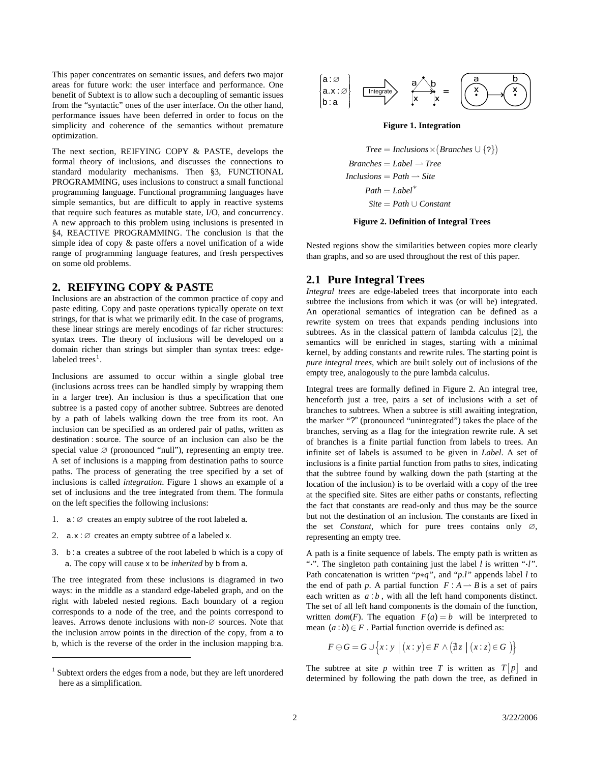<span id="page-3-0"></span>This paper concentrates on semantic issues, and defers two major areas for future work: the user interface and performance. One benefit of Subtext is to allow such a decoupling of semantic issues from the "syntactic" ones of the user interface. On the other hand, performance issues have been deferred in order to focus on the simplicity and coherence of the semantics without premature optimization.

<span id="page-3-3"></span>The next section, [REIFYING COPY & PASTE,](#page-3-1) develops the formal theory of inclusions, and discusses the connections to standard modularity mechanisms. Then §[3](#page-8-1), [FUNCTIONAL](#page-8-1)  [PROGRAMMING](#page-8-1), uses inclusions to construct a small functional programming language. Functional programming languages have simple semantics, but are difficult to apply in reactive systems that require such features as mutable state, I/O, and concurrency. A new approach to this problem using inclusions is presented in [§4](#page-11-1), [REACTIVE PROGRAMMING.](#page-11-1) The conclusion is that the simple idea of copy & paste offers a novel unification of a wide range of programming language features, and fresh perspectives on some old problems.

#### <span id="page-3-4"></span><span id="page-3-1"></span>**2. REIFYING COPY & PASTE**

Inclusions are an abstraction of the common practice of copy and paste editing. Copy and paste operations typically operate on text strings, for that is what we primarily edit. In the case of programs, these linear strings are merely encodings of far richer structures: syntax trees. The theory of inclusions will be developed on a domain richer than strings but simpler than syntax trees: edge-labeled trees<sup>[1](#page-3-2)</sup>.

Inclusions are assumed to occur within a single global tree (inclusions across trees can be handled simply by wrapping them in a larger tree). An inclusion is thus a specification that one subtree is a pasted copy of another subtree. Subtrees are denoted by a path of labels walking down the tree from its root. An inclusion can be specified as an ordered pair of paths, written as destination : source. The source of an inclusion can also be the special value  $\varnothing$  (pronounced "null"), representing an empty tree. A set of inclusions is a mapping from destination paths to source paths. The process of generating the tree specified by a set of inclusions is called *integration*. [Figure 1](#page-3-3) shows an example of a set of inclusions and the tree integrated from them. The formula on the left specifies the following inclusions:

- 1.  $a : \emptyset$  creates an empty subtree of the root labeled a.
- 2.  $a.x : \emptyset$  creates an empty subtree of a labeled x.

1

3. b: a creates a subtree of the root labeled b which is a copy of a. The copy will cause x to be *inherited* by b from a.

The tree integrated from these inclusions is diagramed in two ways: in the middle as a standard edge-labeled graph, and on the right with labeled nested regions. Each boundary of a region corresponds to a node of the tree, and the points correspond to leaves. Arrows denote inclusions with non-∅ sources. Note that the inclusion arrow points in the direction of the copy, from a to b, which is the reverse of the order in the inclusion mapping b:a.



**Figure 1. Integration** 

 $Tree = Inclusions \times (Branches \cup \{ ? \})$  $Branches = Label \rightarrow Tree$  $Inclusions = Path \rightarrow Site$  $Path = Label^*$  $Site = Path \cup Constant$ 

**Figure 2. Definition of Integral Trees** 

Nested regions show the similarities between copies more clearly than graphs, and so are used throughout the rest of this paper.

#### **2.1 Pure Integral Trees**

*Integral trees* are edge-labeled trees that incorporate into each subtree the inclusions from which it was (or will be) integrated. An operational semantics of integration can be defined as a rewrite system on trees that expands pending inclusions into subtrees. As in the classical pattern of lambda calculus [\[2\],](#page-17-2) the semantics will be enriched in stages, starting with a minimal kernel, by adding constants and rewrite rules. The starting point is *pure integral trees*, which are built solely out of inclusions of the empty tree, analogously to the pure lambda calculus.

Integral trees are formally defined in [Figure 2](#page-3-4). An integral tree, henceforth just a tree, pairs a set of inclusions with a set of branches to subtrees. When a subtree is still awaiting integration, the marker "?" (pronounced "unintegrated") takes the place of the branches, serving as a flag for the integration rewrite rule. A set of branches is a finite partial function from labels to trees. An infinite set of labels is assumed to be given in *Label*. A set of inclusions is a finite partial function from paths to *sites*, indicating that the subtree found by walking down the path (starting at the location of the inclusion) is to be overlaid with a copy of the tree at the specified site. Sites are either paths or constants, reflecting the fact that constants are read-only and thus may be the source but not the destination of an inclusion. The constants are fixed in the set *Constant*, which for pure trees contains only ∅, representing an empty tree.

A path is a finite sequence of labels. The empty path is written as "**⋅**". The singleton path containing just the label *l* is written "**⋅***l"*. Path concatenation is written "*p*∗*q"*, and "*p*.*l"* appends label *l* to the end of path *p*. A partial function  $F : A \rightarrow B$  is a set of pairs each written as  $a:b$ , with all the left hand components distinct. The set of all left hand components is the domain of the function, written  $dom(F)$ . The equation  $F(a) = b$  will be interpreted to mean  $(a:b) \in F$ . Partial function override is defined as:

$$
F \oplus G = G \cup \left\{ x : y \mid (x : y) \in F \land (\nexists z \mid (x : z) \in G) \right\}
$$

The subtree at site p within tree T is written as  $T|p|$  and determined by following the path down the tree, as defined in

<span id="page-3-2"></span><sup>&</sup>lt;sup>1</sup> Subtext orders the edges from a node, but they are left unordered here as a simplification.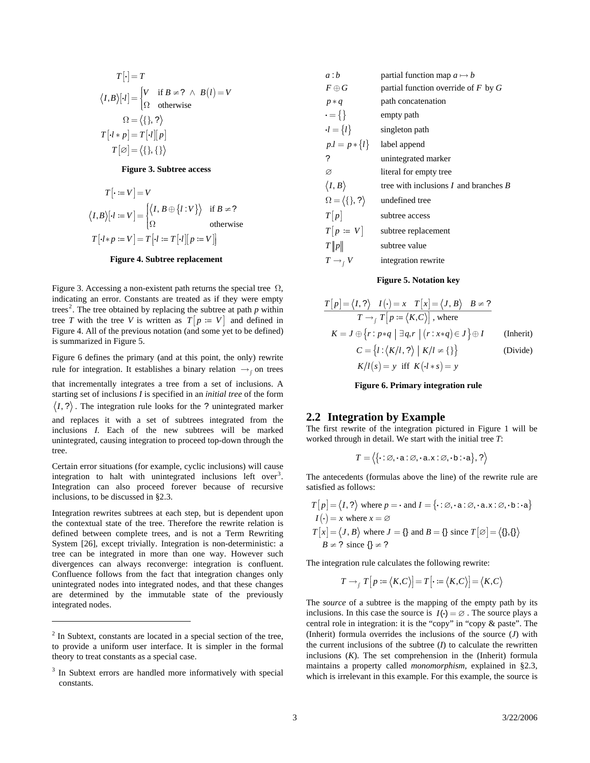<span id="page-4-0"></span>
$$
T[\cdot] = T
$$
  
\n
$$
\langle I, B \rangle [\cdot l] = \begin{cases} V & \text{if } B \neq ? \ \land \ B(l) = V \\ \Omega & \text{otherwise} \end{cases}
$$
  
\n
$$
\Omega = \langle \{\}, ? \rangle
$$
  
\n
$$
T[\cdot l * p] = T[\cdot l][p]
$$
  
\n
$$
T[\emptyset] = \langle \{\}, \{\} \rangle
$$

#### **Figure 3. Subtree access**

<span id="page-4-2"></span>
$$
T[\cdot := V] = V
$$
  

$$
\langle I, B \rangle [\cdot l := V] = \begin{cases} \langle I, B \oplus \{l : V\} \rangle & \text{if } B \neq ?\\ \Omega & \text{otherwise} \end{cases}
$$
  

$$
T[\cdot l * p := V] = T[\cdot l := T[\cdot l][p := V]]
$$

#### **Figure 4. Subtree replacement**

<span id="page-4-4"></span><span id="page-4-3"></span>[Figure 3](#page-4-2). Accessing a non-existent path returns the special tree  $\Omega$ , indicating an error. Constants are treated as if they were empty trees<sup>[2](#page-4-1)</sup>. The tree obtained by replacing the subtree at path  $p$  within tree *T* with the tree *V* is written as  $T[p := V]$  and defined in [Figure 4](#page-4-3). All of the previous notation (and some yet to be defined) is summarized in [Figure 5](#page-4-4).

[Figure 6](#page-4-5) defines the primary (and at this point, the only) rewrite rule for integration. It establishes a binary relation  $\rightarrow$ <sub>∫</sub> on trees

<span id="page-4-5"></span>that incrementally integrates a tree from a set of inclusions. A starting set of inclusions *I* is specified in an *initial tree* of the form  $\langle I, ? \rangle$ . The integration rule looks for the ? unintegrated marker and replaces it with a set of subtrees integrated from the inclusions *I*. Each of the new subtrees will be marked unintegrated, causing integration to proceed top-down through the tree.

Certain error situations (for example, cyclic inclusions) will cause integration to halt with unintegrated inclusions left over<sup>[3](#page-4-6)</sup>. Integration can also proceed forever because of recursive inclusions, to be discussed in §[2.3](#page-6-1).

Integration rewrites subtrees at each step, but is dependent upon the contextual state of the tree. Therefore the rewrite relation is defined between complete trees, and is not a Term Rewriting System [\[26\]](#page-18-5), except trivially. Integration is non-deterministic: a tree can be integrated in more than one way. However such divergences can always reconverge: integration is confluent. Confluence follows from the fact that integration changes only unintegrated nodes into integrated nodes, and that these changes are determined by the immutable state of the previously integrated nodes.

1

| a:b                                | partial function map $a \mapsto b$        |
|------------------------------------|-------------------------------------------|
| $F\oplus G$                        | partial function override of $F$ by $G$   |
| $p * q$                            | path concatenation                        |
| $\cdot = \{\}$                     | empty path                                |
| $\cdot l = \{l\}$                  | singleton path                            |
| $p.l = p * \{l\}$                  | label append                              |
| ?                                  | unintegrated marker                       |
| Ø                                  | literal for empty tree                    |
| $\langle I,B \rangle$              | tree with inclusions $I$ and branches $B$ |
| $\Omega = \langle \{\}, ? \rangle$ | undefined tree                            |
| T[p]                               | subtree access                            |
| $T[p := V]$                        | subtree replacement                       |
| T  p                               | subtree value                             |
| $T \rightarrow_{f} V$              | integration rewrite                       |

#### **Figure 5. Notation key**

$$
\frac{T[p] = \langle I, ? \rangle \quad I(\cdot) = x \quad T[x] = \langle J, B \rangle \quad B \neq ?}{T \rightarrow_f T[p := \langle K, C \rangle], \text{ where}}
$$
\n
$$
K = J \oplus \{r : p * q \mid \exists q, r \mid (r : x * q) \in J\} \oplus I \qquad \text{(Inherit)}
$$
\n
$$
C = \{l : \langle K/l, ? \rangle \mid K/l \neq \{\} \} \qquad \text{(Divide)}
$$
\n
$$
K/l(s) = y \text{ iff } K(l \cdot s) = y
$$

**Figure 6. Primary integration rule** 

#### **2.2 Integration by Example**

The first rewrite of the integration pictured in [Figure 1](#page-3-3) will be worked through in detail. We start with the initial tree *T*:

$$
T = \langle \{\cdot : \varnothing, \cdot \mathbf{a} : \varnothing, \cdot \mathbf{a} \cdot \mathbf{x} : \varnothing, \cdot \mathbf{b} : \cdot \mathbf{a}\}, ? \rangle
$$

The antecedents (formulas above the line) of the rewrite rule are satisfied as follows:

$$
T[p] = \langle I, ? \rangle \text{ where } p = \cdot \text{ and } I = \{\cdot : \varnothing, \cdot \mathbf{a} : \varnothing, \cdot \mathbf{a} \times : \varnothing, \cdot \mathbf{b} : \cdot \mathbf{a}\}
$$

$$
I(\cdot) = x \text{ where } x = \varnothing
$$

$$
T[x] = \langle J, B \rangle \text{ where } J = \{\} \text{ and } B = \{\} \text{ since } T[\varnothing] = \langle \{\}, \{\} \rangle
$$

$$
B \neq ? \text{ since } \{\} \neq ?
$$

The integration rule calculates the following rewrite:

$$
T \rightarrow_f T[p := \langle K, C \rangle] = T[\cdot := \langle K, C \rangle] = \langle K, C \rangle
$$

The *source* of a subtree is the mapping of the empty path by its inclusions. In this case the source is  $I(\cdot) = \emptyset$ . The source plays a central role in integration: it is the "copy" in "copy & paste". The (Inherit) formula overrides the inclusions of the source (*J*) with the current inclusions of the subtree  $(I)$  to calculate the rewritten inclusions  $(K)$ . The set comprehension in the (Inherit) formula maintains a property called *monomorphism*, explained in § [2.3,](#page-6-1) which is irrelevant in this example. For this example, the source is

<span id="page-4-1"></span> $2 \text{ In Subtract, constants are located in a special section of the tree,}$ to provide a uniform user interface. It is simpler in the formal theory to treat constants as a special case.

<span id="page-4-6"></span><sup>3</sup> In Subtext errors are handled more informatively with special constants.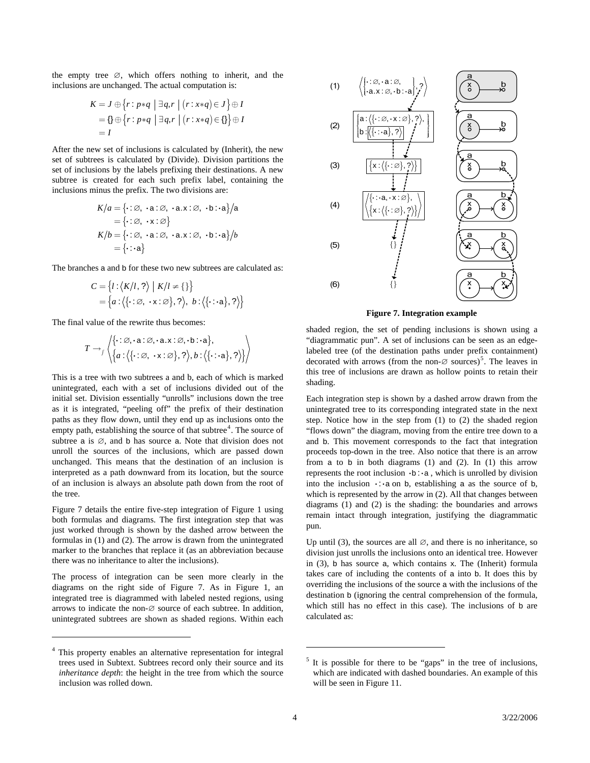the empty tree ∅, which offers nothing to inherit, and the inclusions are unchanged. The actual computation is:

$$
K = J \oplus \{r : p * q \mid \exists q, r \mid (r : x * q) \in J\} \oplus I
$$
  
=  $\{\} \oplus \{r : p * q \mid \exists q, r \mid (r : x * q) \in \{\}\} \oplus I$   
= I

After the new set of inclusions is calculated by (Inherit), the new set of subtrees is calculated by (Divide). Division partitions the set of inclusions by the labels prefixing their destinations. A new subtree is created for each such prefix label, containing the inclusions minus the prefix. The two divisions are:

$$
K/a = \{\cdot : \varnothing, \cdot \mathbf{a} : \varnothing, \cdot \mathbf{a} : \varnothing, \cdot \mathbf{b} : \cdot \mathbf{a}\}/\mathbf{a}
$$
  
=  $\{\cdot : \varnothing, \cdot \mathbf{x} : \varnothing\}$   

$$
K/b = \{\cdot : \varnothing, \cdot \mathbf{a} : \varnothing, \cdot \mathbf{a} : \varnothing, \cdot \mathbf{b} : \cdot \mathbf{a}\}/b
$$
  
=  $\{\cdot : \mathbf{a}\}$ 

The branches a and b for these two new subtrees are calculated as:

$$
C = \{l : \langle K/l, ? \rangle \mid K/l \neq \{\}\}
$$
  
=  $\{a : \langle \{\cdot : \varnothing, \cdot \mathbf{x} : \varnothing\}, ? \rangle, b : \langle \{\cdot : \cdot \mathbf{a}\}, ? \rangle\}$ 

<span id="page-5-1"></span>The final value of the rewrite thus becomes:

$$
T \rightarrow \left\langle \left\{ \cdot : \varnothing, \cdot \mathbf{a} : \varnothing, \cdot \mathbf{a} \times : \varnothing, \cdot \mathbf{b} : \mathbf{a} \right\}, \right\rangle
$$

$$
T \rightarrow \left\langle \left\{ a : \left\langle \left\{ \cdot : \varnothing, \cdot \mathbf{x} : \varnothing \right\}, ? \right\rangle, b : \left\langle \left\{ \cdot : \mathbf{a} \right\}, ? \right\rangle \right\} \right\rangle
$$

This is a tree with two subtrees a and b, each of which is marked unintegrated, each with a set of inclusions divided out of the initial set. Division essentially "unrolls" inclusions down the tree as it is integrated, "peeling off" the prefix of their destination paths as they flow down, until they end up as inclusions onto the empty path, establishing the source of that subtree $<sup>4</sup>$  $<sup>4</sup>$  $<sup>4</sup>$ . The source of</sup> subtree a is  $\emptyset$ , and b has source a. Note that division does not unroll the sources of the inclusions, which are passed down unchanged. This means that the destination of an inclusion is interpreted as a path downward from its location, but the source of an inclusion is always an absolute path down from the root of the tree.

[Figure 7](#page-5-1) details the entire five-step integration of [Figure 1](#page-3-3) using both formulas and diagrams. The first integration step that was just worked through is shown by the dashed arrow between the formulas in (1) and (2). The arrow is drawn from the unintegrated marker to the branches that replace it (as an abbreviation because there was no inheritance to alter the inclusions).

The process of integration can be seen more clearly in the diagrams on the right side of [Figure 7](#page-5-1). As in [Figure 1](#page-3-3), an integrated tree is diagrammed with labeled nested regions, using arrows to indicate the non-∅ source of each subtree. In addition, unintegrated subtrees are shown as shaded regions. Within each

-



**Figure 7. Integration example** 

shaded region, the set of pending inclusions is shown using a "diagrammatic pun". A set of inclusions can be seen as an edgelabeled tree (of the destination paths under prefix containment) decorated with arrows (from the non- $\varnothing$  sources)<sup>[5](#page-5-2)</sup>. The leaves in this tree of inclusions are drawn as hollow points to retain their shading.

Each integration step is shown by a dashed arrow drawn from the unintegrated tree to its corresponding integrated state in the next step. Notice how in the step from (1) to (2) the shaded region "flows down" the diagram, moving from the entire tree down to a and b. This movement corresponds to the fact that integration proceeds top-down in the tree. Also notice that there is an arrow from a to b in both diagrams  $(1)$  and  $(2)$ . In  $(1)$  this arrow **represents the root inclusion**  $\cdot$ **b :**  $\cdot$  **a**, which is unrolled by division into the inclusion  $\cdot \cdot \cdot$  a on b, establishing a as the source of b, which is represented by the arrow in (2). All that changes between diagrams (1) and (2) is the shading: the boundaries and arrows remain intact through integration, justifying the diagrammatic pun.

Up until (3), the sources are all  $\varnothing$ , and there is no inheritance, so division just unrolls the inclusions onto an identical tree. However in (3), b has source a, which contains x. The (Inherit) formula takes care of including the contents of a into b. It does this by overriding the inclusions of the source a with the inclusions of the destination b (ignoring the central comprehension of the formula, which still has no effect in this case). The inclusions of b are calculated as:

<span id="page-5-2"></span><span id="page-5-0"></span> <sup>4</sup> This property enables an alternative representation for integral trees used in Subtext. Subtrees record only their source and its *inheritance depth*: the height in the tree from which the source inclusion was rolled down.

 $<sup>5</sup>$  It is possible for there to be "gaps" in the tree of inclusions,</sup> which are indicated with dashed boundaries. An example of this will be seen in Figure 11.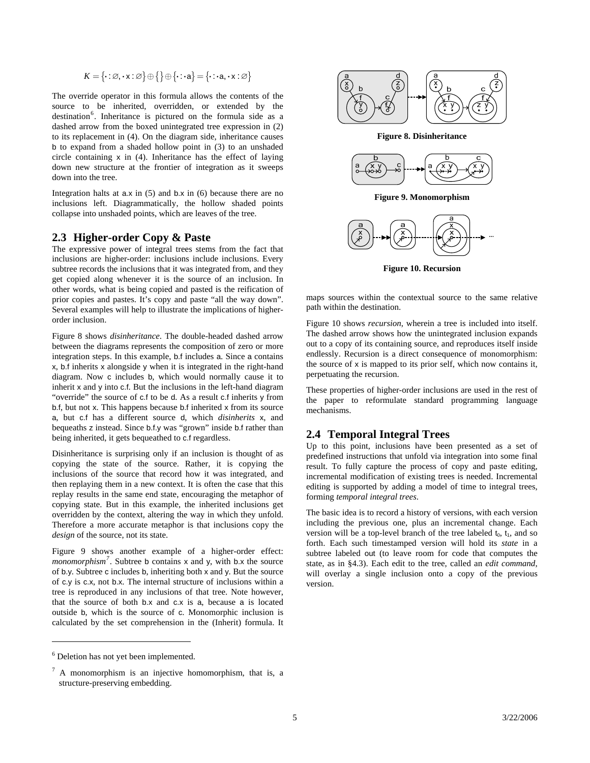$$
K = \{\cdot : \varnothing, \cdot x : \varnothing\} \oplus \{\} \oplus \{\cdot : \cdot a\} = \{\cdot : \cdot a, \cdot x : \varnothing\}
$$

<span id="page-6-3"></span><span id="page-6-0"></span>The override operator in this formula allows the contents of the source to be inherited, overridden, or extended by the destination<sup>[6](#page-6-2)</sup>. Inheritance is pictured on the formula side as a dashed arrow from the boxed unintegrated tree expression in (2) to its replacement in (4). On the diagram side, inheritance causes b to expand from a shaded hollow point in (3) to an unshaded circle containing x in (4). Inheritance has the effect of laying down new structure at the frontier of integration as it sweeps down into the tree.

<span id="page-6-5"></span>Integration halts at  $a.x$  in (5) and  $b.x$  in (6) because there are no inclusions left. Diagrammatically, the hollow shaded points collapse into unshaded points, which are leaves of the tree.

### <span id="page-6-1"></span>**2.3 Higher-order Copy & Paste**

<span id="page-6-6"></span>The expressive power of integral trees stems from the fact that inclusions are higher-order: inclusions include inclusions. Every subtree records the inclusions that it was integrated from, and they get copied along whenever it is the source of an inclusion. In other words, what is being copied and pasted is the reification of prior copies and pastes. It's copy and paste "all the way down". Several examples will help to illustrate the implications of higherorder inclusion.

[Figure 8](#page-6-3) shows *disinheritance*. The double-headed dashed arrow between the diagrams represents the composition of zero or more integration steps. In this example, b.f includes a. Since a contains x, b.f inherits x alongside y when it is integrated in the right-hand diagram. Now c includes b, which would normally cause it to inherit x and y into c.f. But the inclusions in the left-hand diagram "override" the source of c.f to be d. As a result c.f inherits y from b.f, but not x. This happens because b.f inherited x from its source a, but c.f has a different source d, which *disinherits* x, and bequeaths z instead. Since b.f.y was "grown" inside b.f rather than being inherited, it gets bequeathed to c.f regardless.

<span id="page-6-7"></span>Disinheritance is surprising only if an inclusion is thought of as copying the state of the source. Rather, it is copying the inclusions of the source that record how it was integrated, and then replaying them in a new context. It is often the case that this replay results in the same end state, encouraging the metaphor of copying state. But in this example, the inherited inclusions get overridden by the context, altering the way in which they unfold. Therefore a more accurate metaphor is that inclusions copy the *design* of the source, not its state.

[Figure 9](#page-6-5) shows another example of a higher-order effect: *monomorphism[7](#page-6-4)* . Subtree b contains x and y, with b.x the source of b.y. Subtree c includes b, inheriting both x and y. But the source of c.y is c.x, not b.x. The internal structure of inclusions within a tree is reproduced in any inclusions of that tree. Note however, that the source of both b.x and c.x is a, because a is located outside b, which is the source of c. Monomorphic inclusion is calculated by the set comprehension in the (Inherit) formula. It

<span id="page-6-4"></span><span id="page-6-2"></span>

-



**Figure 8. Disinheritance** 



**Figure 9. Monomorphism** 



**Figure 10. Recursion** 

maps sources within the contextual source to the same relative path within the destination.

[Figure 10](#page-6-6) shows *recursion*, wherein a tree is included into itself. The dashed arrow shows how the unintegrated inclusion expands out to a copy of its containing source, and reproduces itself inside endlessly. Recursion is a direct consequence of monomorphism: the source of x is mapped to its prior self, which now contains it, perpetuating the recursion.

These properties of higher-order inclusions are used in the rest of the paper to reformulate standard programming language mechanisms.

#### **2.4 Temporal Integral Trees**

Up to this point, inclusions have been presented as a set of predefined instructions that unfold via integration into some final result. To fully capture the process of copy and paste editing, incremental modification of existing trees is needed. Incremental editing is supported by adding a model of time to integral trees, forming *temporal integral trees*.

The basic idea is to record a history of versions, with each version including the previous one, plus an incremental change. Each version will be a top-level branch of the tree labeled  $t_0$ ,  $t_1$ , and so forth. Each such timestamped version will hold its *state* in a subtree labeled out (to leave room for code that computes the state, as in §[4.3\)](#page-13-1). Each edit to the tree, called an *edit command*, will overlay a single inclusion onto a copy of the previous version.

<sup>7</sup> A monomorphism is an injective homomorphism, that is, a structure-preserving embedding.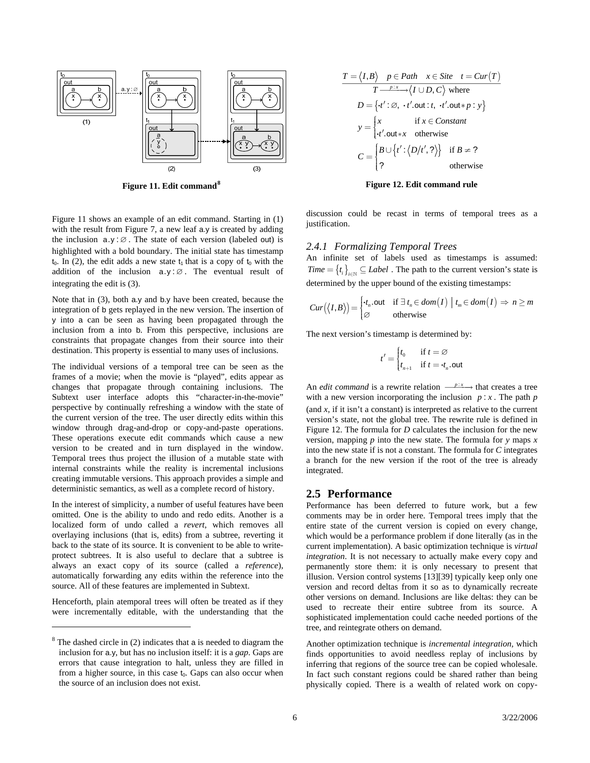<span id="page-7-0"></span>

<span id="page-7-2"></span><span id="page-7-1"></span>[Figure 11](#page-7-1) shows an example of an edit command. Starting in (1) with the result from [Figure 7,](#page-5-1) a new leaf a.y is created by adding the inclusion  $a.y:Ø$ . The state of each version (labeled out) is highlighted with a bold boundary. The initial state has timestamp  $t_0$ . In (2), the edit adds a new state  $t_1$  that is a copy of  $t_0$  with the addition of the inclusion  $a.y : ∅$ . The eventual result of integrating the edit is (3).

Note that in (3), both a.y and b.y have been created, because the integration of b gets replayed in the new version. The insertion of y into a can be seen as having been propagated through the inclusion from a into b. From this perspective, inclusions are constraints that propagate changes from their source into their destination. This property is essential to many uses of inclusions.

The individual versions of a temporal tree can be seen as the frames of a movie; when the movie is "played", edits appear as changes that propagate through containing inclusions. The Subtext user interface adopts this "character-in-the-movie" perspective by continually refreshing a window with the state of the current version of the tree. The user directly edits within this window through drag-and-drop or copy-and-paste operations. These operations execute edit commands which cause a new version to be created and in turn displayed in the window. Temporal trees thus project the illusion of a mutable state with internal constraints while the reality is incremental inclusions creating immutable versions. This approach provides a simple and deterministic semantics, as well as a complete record of history.

<span id="page-7-3"></span>In the interest of simplicity, a number of useful features have been omitted. One is the ability to undo and redo edits. Another is a localized form of undo called a *revert*, which removes all overlaying inclusions (that is, edits) from a subtree, reverting it back to the state of its source. It is convenient to be able to writeprotect subtrees. It is also useful to declare that a subtree is always an exact copy of its source (called a *reference*), automatically forwarding any edits within the reference into the source. All of these features are implemented in Subtext.

Henceforth, plain atemporal trees will often be treated as if they were incrementally editable, with the understanding that the

 $\overline{a}$ 

$$
T = \langle I, B \rangle \quad p \in Path \quad x \in Site \quad t = Cur(T)
$$
  

$$
T \xrightarrow{p:x \to} \langle I \cup D, C \rangle \text{ where}
$$
  

$$
D = \{t' : \varnothing, \quad t' \text{ .out} : t, \quad t' \text{ .out} * p : y \}
$$
  

$$
y = \begin{cases} x & \text{if } x \in Constant \\ t' \text{ .out} * x & \text{otherwise} \end{cases}
$$
  

$$
C = \begin{cases} B \cup \{t' : \langle D/t', ? \rangle\} & \text{if } B \neq ? \\ ? & \text{otherwise} \end{cases}
$$

#### **Figure 11. Edit command Research 2. Edit command rule 8 Figure 12. Edit command rule**

discussion could be recast in terms of temporal trees as a justification.

#### *2.4.1 Formalizing Temporal Trees*

An infinite set of labels used as timestamps is assumed:  ${Time = {\t_i}_{i \in \mathbb{N}} \subseteq Label}$ . The path to the current version's state is determined by the upper bound of the existing timestamps:

$$
Cur(\langle I,B\rangle) = \begin{cases} \cdot t_n.\text{out} & \text{if } \exists t_n \in dom(I) \mid t_m \in dom(I) \Rightarrow n \ge m \\ \varnothing & \text{otherwise} \end{cases}
$$

The next version's timestamp is determined by:

$$
t' = \begin{cases} t_0 & \text{if } t = \varnothing \\ t_{n+1} & \text{if } t = \mathbf{\cdot} t_n.\text{out} \end{cases}
$$

An *edit command* is a rewrite relation  $\frac{p : x}{p : x}$  that creates a tree with a new version incorporating the inclusion  $p : x$ . The path  $p$ (and  $x$ , if it isn't a constant) is interpreted as relative to the current version's state, not the global tree. The rewrite rule is defined in [Figure 12](#page-7-2). The formula for *D* calculates the inclusion for the new version, mapping *p* into the new state. The formula for *y* maps *x* into the new state if is not a constant. The formula for *C* integrates a branch for the new version if the root of the tree is already integrated.

# **2.5 Performance**

Performance has been deferred to future work, but a few comments may be in order here. Temporal trees imply that the entire state of the current version is copied on every change, which would be a performance problem if done literally (as in the current implementation). A basic optimization technique is *virtual integration*. It is not necessary to actually make every copy and permanently store them: it is only necessary to present that illusion. Version control systems [\[13\]](#page-18-6)[\[39\]](#page-19-1) typically keep only one version and record deltas from it so as to dynamically recreate other versions on demand. Inclusions are like deltas: they can be used to recreate their entire subtree from its source. A sophisticated implementation could cache needed portions of the tree, and reintegrate others on demand.

Another optimization technique is *incremental integration,* which finds opportunities to avoid needless replay of inclusions by inferring that regions of the source tree can be copied wholesale. In fact such constant regions could be shared rather than being physically copied. There is a wealth of related work on copy-

 $8$  The dashed circle in (2) indicates that a is needed to diagram the inclusion for a.y, but has no inclusion itself: it is a *gap*. Gaps are errors that cause integration to halt, unless they are filled in from a higher source, in this case  $t_0$ . Gaps can also occur when the source of an inclusion does not exist.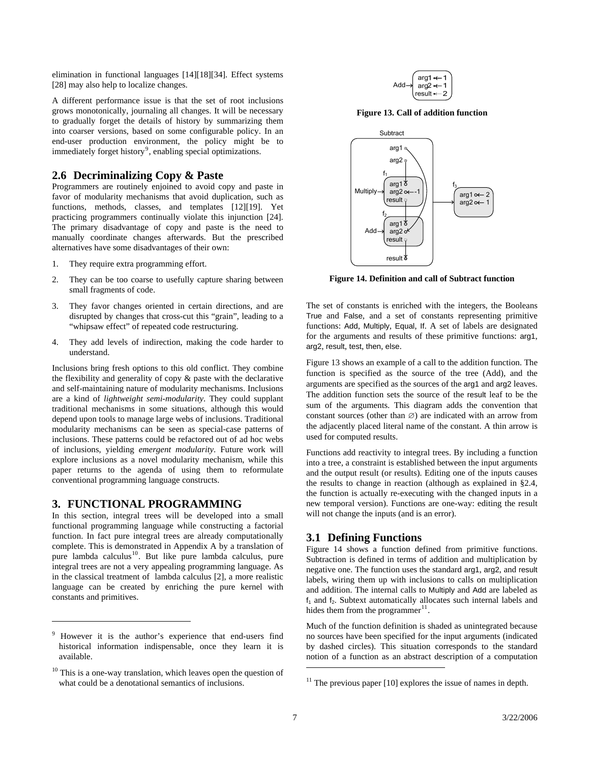<span id="page-8-0"></span>elimination in functional languages [\[14\]](#page-18-7)[\[18\]](#page-18-8)[\[34\]](#page-18-9). Effect systems [\[28\]](#page-18-10) may also help to localize changes.

<span id="page-8-4"></span>A different performance issue is that the set of root inclusions grows monotonically, journaling all changes. It will be necessary to gradually forget the details of history by summarizing them into coarser versions, based on some configurable policy. In an end-user production environment, the policy might be to immediately forget history<sup>[9](#page-8-2)</sup>, enabling special optimizations.

### **2.6 Decriminalizing Copy & Paste**

Programmers are routinely enjoined to avoid copy and paste in favor of modularity mechanisms that avoid duplication, such as functions, methods, classes, and templates [\[12\]](#page-18-11)[\[19\]](#page-18-12). Yet practicing programmers continually violate this injunction [\[24\].](#page-18-2) The primary disadvantage of copy and paste is the need to manually coordinate changes afterwards. But the prescribed alternatives have some disadvantages of their own:

- 1. They require extra programming effort.
- <span id="page-8-6"></span>2. They can be too coarse to usefully capture sharing between small fragments of code.
- 3. They favor changes oriented in certain directions, and are disrupted by changes that cross-cut this "grain", leading to a "whipsaw effect" of repeated code restructuring.
- 4. They add levels of indirection, making the code harder to understand.

Inclusions bring fresh options to this old conflict. They combine the flexibility and generality of copy & paste with the declarative and self-maintaining nature of modularity mechanisms. Inclusions are a kind of *lightweight semi-modularity*. They could supplant traditional mechanisms in some situations, although this would depend upon tools to manage large webs of inclusions. Traditional modularity mechanisms can be seen as special-case patterns of inclusions. These patterns could be refactored out of ad hoc webs of inclusions, yielding *emergent modularity*. Future work will explore inclusions as a novel modularity mechanism, while this paper returns to the agenda of using them to reformulate conventional programming language constructs.

### <span id="page-8-1"></span>**3. FUNCTIONAL PROGRAMMING**

 $\overline{a}$ 

In this section, integral trees will be developed into a small functional programming language while constructing a factorial function. In fact pure integral trees are already computationally complete. This is demonstrated in Appendix A by a translation of pure lambda calculus<sup>[10](#page-8-3)</sup>. But like pure lambda calculus, pure integral trees are not a very appealing programming language. As in the classical treatment of lambda calculus [\[2\],](#page-17-2) a more realistic language can be created by enriching the pure kernel with constants and primitives.



**Figure 13. Call of addition function** 



**Figure 14. Definition and call of Subtract function** 

The set of constants is enriched with the integers, the Booleans True and False, and a set of constants representing primitive functions: Add, Multiply, Equal, If. A set of labels are designated for the arguments and results of these primitive functions: arg1, arg2, result, test, then, else.

[Figure 13](#page-8-4) shows an example of a call to the addition function. The function is specified as the source of the tree (Add), and the arguments are specified as the sources of the arg1 and arg2 leaves. The addition function sets the source of the result leaf to be the sum of the arguments. This diagram adds the convention that constant sources (other than  $\varnothing$ ) are indicated with an arrow from the adjacently placed literal name of the constant. A thin arrow is used for computed results.

Functions add reactivity to integral trees. By including a function into a tree, a constraint is established between the input arguments and the output result (or results). Editing one of the inputs causes the results to change in reaction (although as explained in [§2.4,](#page-6-7) the function is actually re-executing with the changed inputs in a new temporal version). Functions are one-way: editing the result will not change the inputs (and is an error).

### **3.1 Defining Functions**

[Figure 14](#page-8-6) shows a function defined from primitive functions. Subtraction is defined in terms of addition and multiplication by negative one. The function uses the standard arg1, arg2, and result labels, wiring them up with inclusions to calls on multiplication and addition. The internal calls to Multiply and Add are labeled as  $f_1$  and  $f_2$ . Subtext automatically allocates such internal labels and hides them from the programmer $^{11}$  $^{11}$  $^{11}$ .

Much of the function definition is shaded as unintegrated because no sources have been specified for the input arguments (indicated by dashed circles). This situation corresponds to the standard notion of a function as an abstract description of a computation

1

<span id="page-8-2"></span><sup>9</sup> However it is the author's experience that end-users find historical information indispensable, once they learn it is available.

<span id="page-8-5"></span><span id="page-8-3"></span> $10$  This is a one-way translation, which leaves open the question of what could be a denotational semantics of inclusions.

 $11$  The previous paper [10] explores the issue of names in depth.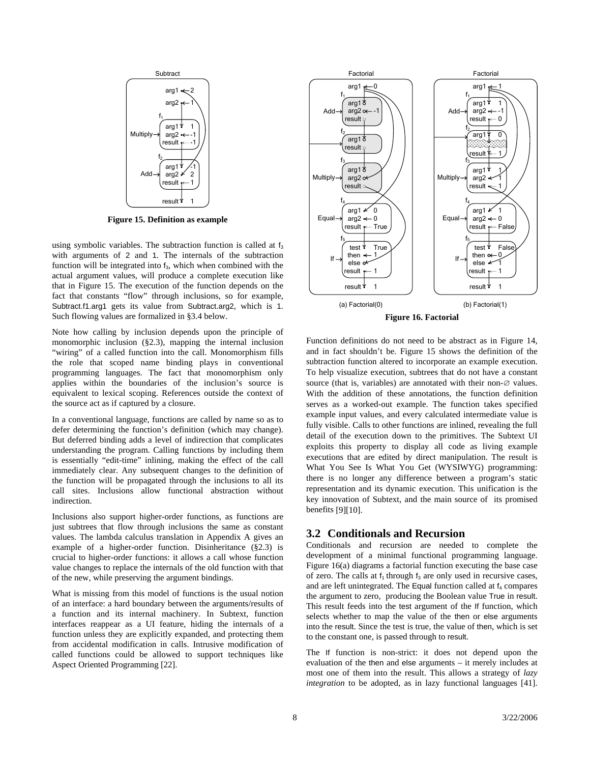<span id="page-9-0"></span>

**Figure 15. Definition as example** 

<span id="page-9-2"></span>using symbolic variables. The subtraction function is called at  $f_3$ with arguments of 2 and 1. The internals of the subtraction function will be integrated into  $f_3$ , which when combined with the actual argument values, will produce a complete execution like that in [Figure 15](#page-9-1). The execution of the function depends on the fact that constants "flow" through inclusions, so for example, Subtract.f1.arg1 gets its value from Subtract.arg2, which is 1. Such flowing values are formalized in [§3.4](#page-10-1) below.

<span id="page-9-3"></span>Note how calling by inclusion depends upon the principle of monomorphic inclusion (§[2.3](#page-6-1)), mapping the internal inclusion "wiring" of a called function into the call. Monomorphism fills the role that scoped name binding plays in conventional programming languages. The fact that monomorphism only applies within the boundaries of the inclusion's source is equivalent to lexical scoping. References outside the context of the source act as if captured by a closure.

In a conventional language, functions are called by name so as to defer determining the function's definition (which may change). But deferred binding adds a level of indirection that complicates understanding the program. Calling functions by including them is essentially "edit-time" inlining, making the effect of the call immediately clear. Any subsequent changes to the definition of the function will be propagated through the inclusions to all its call sites. Inclusions allow functional abstraction without indirection.

Inclusions also support higher-order functions, as functions are just subtrees that flow through inclusions the same as constant values. The lambda calculus translation in Appendix A gives an example of a higher-order function. Disinheritance ([§2.3](#page-6-1)) is crucial to higher-order functions: it allows a call whose function value changes to replace the internals of the old function with that of the new, while preserving the argument bindings.

<span id="page-9-1"></span>What is missing from this model of functions is the usual notion of an interface: a hard boundary between the arguments/results of a function and its internal machinery. In Subtext, function interfaces reappear as a UI feature, hiding the internals of a function unless they are explicitly expanded, and protecting them from accidental modification in calls. Intrusive modification of called functions could be allowed to support techniques like Aspect Oriented Programming [\[22\].](#page-18-3)



Function definitions do not need to be abstract as in [Figure 14,](#page-8-6) and in fact shouldn't be. [Figure 15](#page-9-2) shows the definition of the subtraction function altered to incorporate an example execution. To help visualize execution, subtrees that do not have a constant source (that is, variables) are annotated with their non-∅ values. With the addition of these annotations, the function definition serves as a worked-out example. The function takes specified example input values, and every calculated intermediate value is fully visible. Calls to other functions are inlined, revealing the full detail of the execution down to the primitives. The Subtext UI exploits this property to display all code as living example executions that are edited by direct manipulation. The result is What You See Is What You Get (WYSIWYG) programming: there is no longer any difference between a program's static representation and its dynamic execution. This unification is the key innovation of Subtext, and the main source of its promised benefits [\[9\]](#page-18-3)[\[10\]](#page-18-0).

### **3.2 Conditionals and Recursion**

Conditionals and recursion are needed to complete the development of a minimal functional programming language. [Figure 16\(](#page-9-3)a) diagrams a factorial function executing the base case of zero. The calls at  $f_1$  through  $f_3$  are only used in recursive cases, and are left unintegrated. The Equal function called at  $f_4$  compares the argument to zero, producing the Boolean value True in result. This result feeds into the test argument of the If function, which selects whether to map the value of the then or else arguments into the result. Since the test is true, the value of then, which is set to the constant one, is passed through to result.

The If function is non-strict: it does not depend upon the evaluation of the then and else arguments – it merely includes at most one of them into the result. This allows a strategy of *lazy integration* to be adopted, as in lazy functional languages [\[41\].](#page-19-2)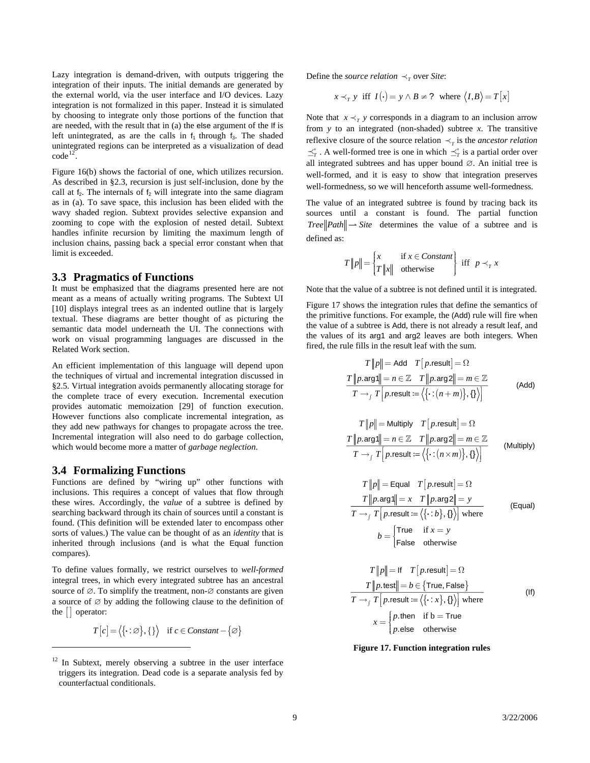<span id="page-10-0"></span>Lazy integration is demand-driven, with outputs triggering the integration of their inputs. The initial demands are generated by the external world, via the user interface and I/O devices. Lazy integration is not formalized in this paper. Instead it is simulated by choosing to integrate only those portions of the function that are needed, with the result that in (a) the else argument of the If is left unintegrated, as are the calls in  $f_1$  through  $f_3$ . The shaded unintegrated regions can be interpreted as a visualization of dead  $code<sup>12</sup>$  $code<sup>12</sup>$  $code<sup>12</sup>$ 

[Figure 16\(](#page-9-3)b) shows the factorial of one, which utilizes recursion. As described in §[2.3](#page-6-1), recursion is just self-inclusion, done by the call at  $f_2$ . The internals of  $f_2$  will integrate into the same diagram as in (a). To save space, this inclusion has been elided with the wavy shaded region. Subtext provides selective expansion and zooming to cope with the explosion of nested detail. Subtext handles infinite recursion by limiting the maximum length of inclusion chains, passing back a special error constant when that limit is exceeded.

#### **3.3 Pragmatics of Functions**

It must be emphasized that the diagrams presented here are not meant as a means of actually writing programs. The Subtext UI [\[10\]](#page-18-0) displays integral trees as an indented outline that is largely textual. These diagrams are better thought of as picturing the semantic data model underneath the UI. The connections with work on visual programming languages are discussed in the Related Work section.

An efficient implementation of this language will depend upon the techniques of virtual and incremental integration discussed in [§2.5.](#page-7-3) Virtual integration avoids permanently allocating storage for the complete trace of every execution. Incremental execution provides automatic memoization [\[29\]](#page-18-13) of function execution. However functions also complicate incremental integration, as they add new pathways for changes to propagate across the tree. Incremental integration will also need to do garbage collection, which would become more a matter of *garbage neglection*.

#### <span id="page-10-1"></span>**3.4 Formalizing Functions**

<span id="page-10-3"></span> $\overline{a}$ 

Functions are defined by "wiring up" other functions with inclusions. This requires a concept of values that flow through these wires. Accordingly, the *value* of a subtree is defined by searching backward through its chain of sources until a constant is found. (This definition will be extended later to encompass other sorts of values.) The value can be thought of as an *identity* that is inherited through inclusions (and is what the Equal function compares).

To define values formally, we restrict ourselves to *well-formed* integral trees, in which every integrated subtree has an ancestral source of  $\varnothing$ . To simplify the treatment, non- $\varnothing$  constants are given a source of  $\varnothing$  by adding the following clause to the definition of the  $\vert \vert$  operator:

$$
T[c] = \langle \{\cdot : \varnothing\}, \{\} \rangle \quad \text{if } c \in Constant - \{\varnothing\}
$$

Define the *source relation*  $\prec_{\tau}$  over *Site*:

$$
x \prec_T y
$$
 iff  $I(\cdot) = y \land B \neq ?$  where  $\langle I, B \rangle = T[x]$ 

Note that  $x \prec_{\tau} y$  corresponds in a diagram to an inclusion arrow from *y* to an integrated (non-shaded) subtree *x*. The transitive reflexive closure of the source relation  $\prec_{\tau}$  is the *ancestor relation*  $\preceq^*_T$ . A well-formed tree is one in which  $\preceq^*_T$  is a partial order over all integrated subtrees and has upper bound ∅. An initial tree is well-formed, and it is easy to show that integration preserves well-formedness, so we will henceforth assume well-formedness.

The value of an integrated subtree is found by tracing back its sources until a constant is found. The partial function *Tree*  $\left\Vert \textit{Path} \right\Vert \rightarrow \textit{Site}$  determines the value of a subtree and is defined as:

$$
T\|p\| = \begin{cases} x & \text{if } x \in Constant \\ T\|x\| & \text{otherwise} \end{cases} \text{ iff } p \prec_{T} x
$$

Note that the value of a subtree is not defined until it is integrated.

[Figure 17](#page-10-3) shows the integration rules that define the semantics of the primitive functions. For example, the (Add) rule will fire when the value of a subtree is Add, there is not already a result leaf, and the values of its arg1 and arg2 leaves are both integers. When fired, the rule fills in the result leaf with the sum.

 $\mathbf{u}$ 

$$
T\|p\| = \text{Add} \quad T[p\text{.result}] = \Omega
$$
\n
$$
\frac{T\|p\text{.arg}\| = n \in \mathbb{Z} \quad T\|p\text{.arg}2\| = m \in \mathbb{Z}}{T \to f \quad T\Big[p\text{.result} := \langle \{\cdot : (n+m)\}, \{\cdot\}\rangle\Big]}\tag{Add}
$$

$$
T ||p|| = \text{Multiply} \quad T [p\text{.result}] = \Omega
$$
\n
$$
\frac{T ||p\text{.arg1}|| = n \in \mathbb{Z} \quad T ||p\text{.arg2}|| = m \in \mathbb{Z}}{T \rightarrow f \quad T [p\text{.result} := \langle \{\cdot : (n \times m)\}, \cdot \} \rangle]}
$$
\n(Multiply)

$$
T\|p\| = \text{Equal} \quad T[p\text{.result}] = \Omega
$$
\n
$$
T\|p\text{.arg}\| = x \quad T\|p\text{.arg}2\| = y
$$
\n
$$
T \rightarrow_f T[p\text{.result} := \langle{\cdot : b}, f\rangle] \text{ where}
$$
\n
$$
b = \begin{cases} \text{True} & \text{if } x = y \\ \text{False} & \text{otherwise} \end{cases} \tag{Equal}
$$

$$
T\|p\| = \text{If} \quad T\left[p\text{.result}\right] = \Omega
$$
\n
$$
T\|p\text{.test}\| = b \in \{\text{True, False}\}
$$
\n
$$
T \rightarrow_f T\left[p\text{.result} := \langle{\cdot : x}\rangle, \{\}\rangle\right] \text{ where}
$$
\n
$$
x = \begin{cases} p\text{.then} & \text{if } b = \text{True} \\ p\text{.else} & \text{otherwise} \end{cases} (1f)
$$



<span id="page-10-2"></span><sup>&</sup>lt;sup>12</sup> In Subtext, merely observing a subtree in the user interface triggers its integration. Dead code is a separate analysis fed by counterfactual conditionals.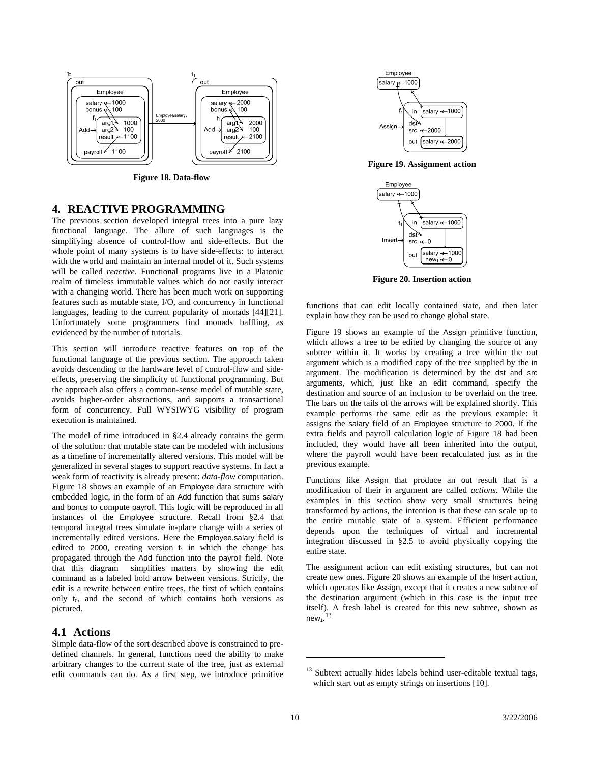<span id="page-11-0"></span>

**Figure 18. Data-flow** 

# <span id="page-11-3"></span><span id="page-11-2"></span><span id="page-11-1"></span>**4. REACTIVE PROGRAMMING**

<span id="page-11-5"></span>The previous section developed integral trees into a pure lazy functional language. The allure of such languages is the simplifying absence of control-flow and side-effects. But the whole point of many systems is to have side-effects: to interact with the world and maintain an internal model of it. Such systems will be called *reactive*. Functional programs live in a Platonic realm of timeless immutable values which do not easily interact with a changing world. There has been much work on supporting features such as mutable state, I/O, and concurrency in functional languages, leading to the current popularity of monads [\[44\]](#page-19-3)[\[21\].](#page-18-14) Unfortunately some programmers find monads baffling, as evidenced by the number of tutorials.

This section will introduce reactive features on top of the functional language of the previous section. The approach taken avoids descending to the hardware level of control-flow and sideeffects, preserving the simplicity of functional programming. But the approach also offers a common-sense model of mutable state, avoids higher-order abstractions, and supports a transactional form of concurrency. Full WYSIWYG visibility of program execution is maintained.

The model of time introduced in §[2.4](#page-6-7) already contains the germ of the solution: that mutable state can be modeled with inclusions as a timeline of incrementally altered versions. This model will be generalized in several stages to support reactive systems. In fact a weak form of reactivity is already present: *data-flow* computation. [Figure 18](#page-11-2) shows an example of an Employee data structure with embedded logic, in the form of an Add function that sums salary and bonus to compute payroll. This logic will be reproduced in all instances of the Employee structure. Recall from [§2.4](#page-6-7) that temporal integral trees simulate in-place change with a series of incrementally edited versions. Here the Employee.salary field is edited to 2000, creating version  $t_1$  in which the change has propagated through the Add function into the payroll field. Note that this diagram simplifies matters by showing the edit command as a labeled bold arrow between versions. Strictly, the edit is a rewrite between entire trees, the first of which contains only  $t_0$ , and the second of which contains both versions as pictured.

#### **4.1 Actions**

<span id="page-11-4"></span>Simple data-flow of the sort described above is constrained to predefined channels. In general, functions need the ability to make arbitrary changes to the current state of the tree, just as external edit commands can do. As a first step, we introduce primitive



**Figure 19. Assignment action** 



**Figure 20. Insertion action** 

functions that can edit locally contained state, and then later explain how they can be used to change global state.

[Figure 19](#page-11-3) shows an example of the Assign primitive function, which allows a tree to be edited by changing the source of any subtree within it. It works by creating a tree within the out argument which is a modified copy of the tree supplied by the in argument. The modification is determined by the dst and src arguments, which, just like an edit command, specify the destination and source of an inclusion to be overlaid on the tree. The bars on the tails of the arrows will be explained shortly. This example performs the same edit as the previous example: it assigns the salary field of an Employee structure to 2000. If the extra fields and payroll calculation logic of [Figure 18](#page-11-2) had been included, they would have all been inherited into the output, where the payroll would have been recalculated just as in the previous example.

Functions like Assign that produce an out result that is a modification of their in argument are called *actions*. While the examples in this section show very small structures being transformed by actions, the intention is that these can scale up to the entire mutable state of a system. Efficient performance depends upon the techniques of virtual and incremental integration discussed in §[2.5](#page-7-3) to avoid physically copying the entire state.

The assignment action can edit existing structures, but can not create new ones. [Figure 20](#page-11-5) shows an example of the Insert action, which operates like Assign, except that it creates a new subtree of the destination argument (which in this case is the input tree itself). A fresh label is created for this new subtree, shown as new $_1$ . $^{13}$  $^{13}$  $^{13}$ 

1

<sup>&</sup>lt;sup>13</sup> Subtext actually hides labels behind user-editable textual tags, which start out as empty strings on insertions [10].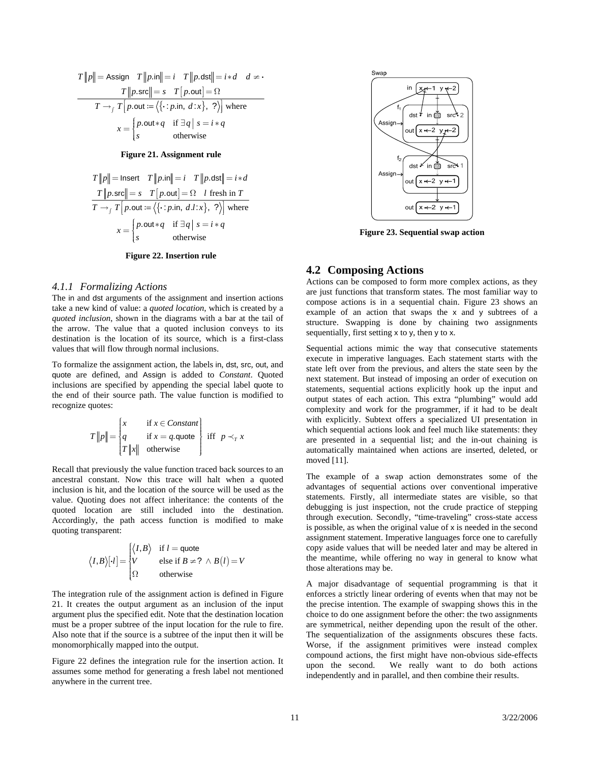<span id="page-12-0"></span>
$$
T\|p\| = \text{Assign} \quad T\|p.\text{in}\| = i \quad T\|p.\text{dst}\| = i*d \quad d \neq \cdot
$$
\n
$$
T\|p.\text{src}\| = s \quad T\left[p.\text{out}\right] = \Omega
$$
\n
$$
T \rightarrow_f T\left[p.\text{out} := \langle\{\cdot:p.\text{in}, d:x\}, ?\rangle\right] \text{ where}
$$
\n
$$
x = \begin{cases} p.\text{out} * q & \text{if } \exists q \mid s = i * q \\ s & \text{otherwise} \end{cases}
$$

**Figure 21. Assignment rule** 

<span id="page-12-1"></span>
$$
T\|p\| = \text{Insert} \quad T\|p.\text{in}\| = i \quad T\|p.\text{dst}\| = i*d
$$
\n
$$
\frac{T\|p.\text{src}\| = s \quad T\left[p.\text{out}\right] = \Omega \quad l \text{ fresh in } T}{T \rightarrow_f T\left[p.\text{out} := \langle\{\cdot:p.\text{in, } d.l:x\}, \text{ ?}\rangle\right] \text{ where}}
$$
\n
$$
x = \begin{cases} p.\text{out} * q & \text{if } \exists q \mid s = i*q\\ s & \text{otherwise} \end{cases}
$$

**Figure 22. Insertion rule** 

#### <span id="page-12-4"></span><span id="page-12-3"></span><span id="page-12-2"></span>*4.1.1 Formalizing Actions*

The in and dst arguments of the assignment and insertion actions take a new kind of value: a *quoted location*, which is created by a *quoted inclusion*, shown in the diagrams with a bar at the tail of the arrow. The value that a quoted inclusion conveys to its destination is the location of its source, which is a first-class values that will flow through normal inclusions.

To formalize the assignment action, the labels in, dst, src, out, and quote are defined, and Assign is added to *Constant*. Quoted inclusions are specified by appending the special label quote to the end of their source path. The value function is modified to recognize quotes:

$$
T\|p\| = \begin{cases} x & \text{if } x \in Constant \\ q & \text{if } x = q \text{.}\text{quote} \\ T\|x\| & \text{otherwise} \end{cases} \text{ iff } p \prec_{T} x
$$

Recall that previously the value function traced back sources to an ancestral constant. Now this trace will halt when a quoted inclusion is hit, and the location of the source will be used as the value. Quoting does not affect inheritance: the contents of the quoted location are still included into the destination. Accordingly, the path access function is modified to make quoting transparent:

$$
\langle I, B \rangle [\cdot l] = \begin{cases} \langle I, B \rangle & \text{if } l = \text{quote} \\ V & \text{else if } B \neq ? \ \land B(l) = V \\ \Omega & \text{otherwise} \end{cases}
$$

The integration rule of the assignment action is defined in [Figure](#page-12-1)  [21](#page-12-1). It creates the output argument as an inclusion of the input argument plus the specified edit. Note that the destination location must be a proper subtree of the input location for the rule to fire. Also note that if the source is a subtree of the input then it will be monomorphically mapped into the output.

[Figure 22](#page-12-2) defines the integration rule for the insertion action. It assumes some method for generating a fresh label not mentioned anywhere in the current tree.



**Figure 23. Sequential swap action** 

#### **4.2 Composing Actions**

Actions can be composed to form more complex actions, as they are just functions that transform states. The most familiar way to compose actions is in a sequential chain. [Figure 23](#page-12-3) shows an example of an action that swaps the x and y subtrees of a structure. Swapping is done by chaining two assignments sequentially, first setting x to y, then y to x.

Sequential actions mimic the way that consecutive statements execute in imperative languages. Each statement starts with the state left over from the previous, and alters the state seen by the next statement. But instead of imposing an order of execution on statements, sequential actions explicitly hook up the input and output states of each action. This extra "plumbing" would add complexity and work for the programmer, if it had to be dealt with explicitly. Subtext offers a specialized UI presentation in which sequential actions look and feel much like statements: they are presented in a sequential list; and the in-out chaining is automatically maintained when actions are inserted, deleted, or moved [\[11\].](#page-18-4)

The example of a swap action demonstrates some of the advantages of sequential actions over conventional imperative statements. Firstly, all intermediate states are visible, so that debugging is just inspection, not the crude practice of stepping through execution. Secondly, "time-traveling" cross-state access is possible, as when the original value of x is needed in the second assignment statement. Imperative languages force one to carefully copy aside values that will be needed later and may be altered in the meantime, while offering no way in general to know what those alterations may be.

A major disadvantage of sequential programming is that it enforces a strictly linear ordering of events when that may not be the precise intention. The example of swapping shows this in the choice to do one assignment before the other: the two assignments are symmetrical, neither depending upon the result of the other. The sequentialization of the assignments obscures these facts. Worse, if the assignment primitives were instead complex compound actions, the first might have non-obvious side-effects upon the second. We really want to do both actions independently and in parallel, and then combine their results.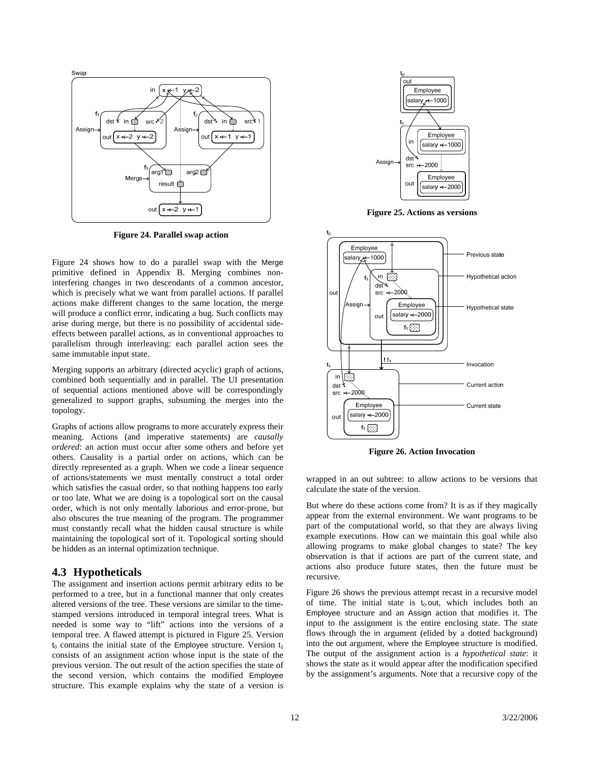<span id="page-13-0"></span>

**Figure 24. Parallel swap action** 

<span id="page-13-3"></span><span id="page-13-2"></span>[Figure 24](#page-13-2) shows how to do a parallel swap with the Merge primitive defined in Appendix B. Merging combines noninterfering changes in two descendants of a common ancestor, which is precisely what we want from parallel actions. If parallel actions make different changes to the same location, the merge will produce a conflict error, indicating a bug. Such conflicts may arise during merge, but there is no possibility of accidental sideeffects between parallel actions, as in conventional approaches to parallelism through interleaving: each parallel action sees the same immutable input state.

Merging supports an arbitrary (directed acyclic) graph of actions, combined both sequentially and in parallel. The UI presentation of sequential actions mentioned above will be correspondingly generalized to support graphs, subsuming the merges into the topology.

<span id="page-13-4"></span>Graphs of actions allow programs to more accurately express their meaning. Actions (and imperative statements) are *causally ordered*: an action must occur after some others and before yet others. Causality is a partial order on actions, which can be directly represented as a graph. When we code a linear sequence of actions/statements we must mentally construct a total order which satisfies the casual order, so that nothing happens too early or too late. What we are doing is a topological sort on the causal order, which is not only mentally laborious and error-prone, but also obscures the true meaning of the program. The programmer must constantly recall what the hidden causal structure is while maintaining the topological sort of it. Topological sorting should be hidden as an internal optimization technique.

### <span id="page-13-1"></span>**4.3 Hypotheticals**

The assignment and insertion actions permit arbitrary edits to be performed to a tree, but in a functional manner that only creates altered versions of the tree. These versions are similar to the timestamped versions introduced in temporal integral trees. What is needed is some way to "lift" actions into the versions of a temporal tree. A flawed attempt is pictured in [Figure 25.](#page-13-3) Version  $t_0$  contains the initial state of the Employee structure. Version  $t_1$ consists of an assignment action whose input is the state of the previous version. The out result of the action specifies the state of the second version, which contains the modified Employee structure. This example explains why the state of a version is



**Figure 25. Actions as versions** 



**Figure 26. Action Invocation** 

wrapped in an out subtree: to allow actions to be versions that calculate the state of the version.

But where do these actions come from? It is as if they magically appear from the external environment. We want programs to be part of the computational world, so that they are always living example executions. How can we maintain this goal while also allowing programs to make global changes to state? The key observation is that if actions are part of the current state, and actions also produce future states, then the future must be recursive.

[Figure 26](#page-13-4) shows the previous attempt recast in a recursive model of time. The initial state is  $t_0$  out, which includes both an Employee structure and an Assign action that modifies it. The input to the assignment is the entire enclosing state. The state flows through the in argument (elided by a dotted background) into the out argument, where the Employee structure is modified. The output of the assignment action is a *hypothetical state*: it shows the state as it would appear after the modification specified by the assignment's arguments. Note that a recursive copy of the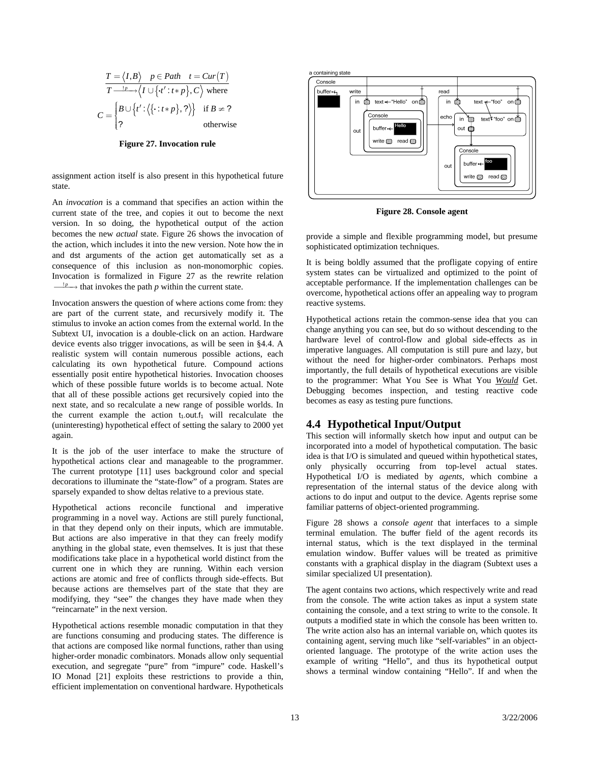<span id="page-14-0"></span>
$$
\frac{T = \langle I, B \rangle \quad p \in Path \quad t = Cur(T)}{T \xrightarrow{1-p} \langle I \cup \{t': t * p\}, C \rangle \text{ where}}
$$

$$
C = \begin{cases} B \cup \{t': \langle \{\cdot : t * p\}, ? \rangle \} & \text{if } B \neq ? \\ ? & \text{otherwise} \end{cases}
$$

**Figure 27. Invocation rule** 

<span id="page-14-1"></span>assignment action itself is also present in this hypothetical future state.

<span id="page-14-3"></span>An *invocation* is a command that specifies an action within the current state of the tree, and copies it out to become the next version. In so doing, the hypothetical output of the action becomes the new *actual* state. [Figure 26](#page-13-4) shows the invocation of the action, which includes it into the new version. Note how the in and dst arguments of the action get automatically set as a consequence of this inclusion as non-monomorphic copies. Invocation is formalized in [Figure 27](#page-14-1) as the rewrite relation  $\frac{p}{p}$  that invokes the path *p* within the current state.

Invocation answers the question of where actions come from: they are part of the current state, and recursively modify it. The stimulus to invoke an action comes from the external world. In the Subtext UI, invocation is a double-click on an action. Hardware device events also trigger invocations, as will be seen in [§4.4](#page-14-2). A realistic system will contain numerous possible actions, each calculating its own hypothetical future. Compound actions essentially posit entire hypothetical histories. Invocation chooses which of these possible future worlds is to become actual. Note that all of these possible actions get recursively copied into the next state, and so recalculate a new range of possible worlds. In the current example the action  $t_1$  out. $t_1$  will recalculate the (uninteresting) hypothetical effect of setting the salary to 2000 yet again.

<span id="page-14-2"></span>It is the job of the user interface to make the structure of hypothetical actions clear and manageable to the programmer. The current prototype [\[11\]](#page-18-4) uses background color and special decorations to illuminate the "state-flow" of a program. States are sparsely expanded to show deltas relative to a previous state.

Hypothetical actions reconcile functional and imperative programming in a novel way. Actions are still purely functional, in that they depend only on their inputs, which are immutable. But actions are also imperative in that they can freely modify anything in the global state, even themselves. It is just that these modifications take place in a hypothetical world distinct from the current one in which they are running. Within each version actions are atomic and free of conflicts through side-effects. But because actions are themselves part of the state that they are modifying, they "see" the changes they have made when they "reincarnate" in the next version.

Hypothetical actions resemble monadic computation in that they are functions consuming and producing states. The difference is that actions are composed like normal functions, rather than using higher-order monadic combinators. Monads allow only sequential execution, and segregate "pure" from "impure" code. Haskell's IO Monad [\[21\]](#page-18-14) exploits these restrictions to provide a thin, efficient implementation on conventional hardware. Hypotheticals



**Figure 28. Console agent** 

provide a simple and flexible programming model, but presume sophisticated optimization techniques.

It is being boldly assumed that the profligate copying of entire system states can be virtualized and optimized to the point of acceptable performance. If the implementation challenges can be overcome, hypothetical actions offer an appealing way to program reactive systems.

Hypothetical actions retain the common-sense idea that you can change anything you can see, but do so without descending to the hardware level of control-flow and global side-effects as in imperative languages. All computation is still pure and lazy, but without the need for higher-order combinators. Perhaps most importantly, the full details of hypothetical executions are visible to the programmer: What You See is What You *Would* Get. Debugging becomes inspection, and testing reactive code becomes as easy as testing pure functions.

### **4.4 Hypothetical Input/Output**

This section will informally sketch how input and output can be incorporated into a model of hypothetical computation. The basic idea is that I/O is simulated and queued within hypothetical states, only physically occurring from top-level actual states. Hypothetical I/O is mediated by *agents*, which combine a representation of the internal status of the device along with actions to do input and output to the device. Agents reprise some familiar patterns of object-oriented programming.

[Figure 28](#page-14-3) shows a *console agent* that interfaces to a simple terminal emulation. The buffer field of the agent records its internal status, which is the text displayed in the terminal emulation window. Buffer values will be treated as primitive constants with a graphical display in the diagram (Subtext uses a similar specialized UI presentation).

The agent contains two actions, which respectively write and read from the console. The write action takes as input a system state containing the console, and a text string to write to the console. It outputs a modified state in which the console has been written to. The write action also has an internal variable on, which quotes its containing agent, serving much like "self-variables" in an objectoriented language. The prototype of the write action uses the example of writing "Hello", and thus its hypothetical output shows a terminal window containing "Hello". If and when the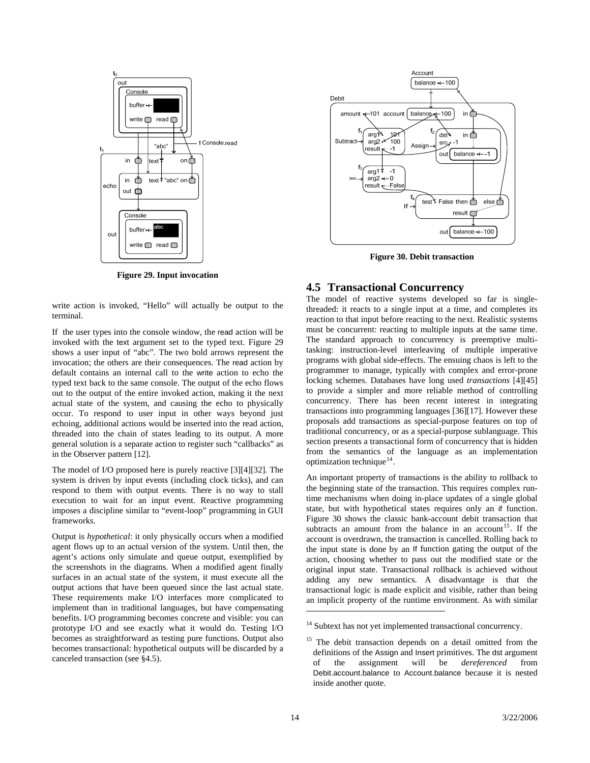<span id="page-15-0"></span>

**Figure 29. Input invocation** 

<span id="page-15-5"></span><span id="page-15-2"></span>write action is invoked, "Hello" will actually be output to the terminal.

If the user types into the console window, the read action will be invoked with the text argument set to the typed text. [Figure 29](#page-15-1) shows a user input of "abc". The two bold arrows represent the invocation; the others are their consequences. The read action by default contains an internal call to the write action to echo the typed text back to the same console. The output of the echo flows out to the output of the entire invoked action, making it the next actual state of the system, and causing the echo to physically occur. To respond to user input in other ways beyond just echoing, additional actions would be inserted into the read action, threaded into the chain of states leading to its output. A more general solution is a separate action to register such "callbacks" as in the Observer pattern [\[12\]](#page-18-11).

<span id="page-15-1"></span>The model of I/O proposed here is purely reactive [\[3\]](#page-17-3)[\[4\]](#page-17-4)[\[32\]](#page-18-15). The system is driven by input events (including clock ticks), and can respond to them with output events. There is no way to stall execution to wait for an input event. Reactive programming imposes a discipline similar to "event-loop" programming in GUI frameworks.

<span id="page-15-4"></span><span id="page-15-3"></span>Output is *hypothetical*: it only physically occurs when a modified agent flows up to an actual version of the system. Until then, the agent's actions only simulate and queue output, exemplified by the screenshots in the diagrams. When a modified agent finally surfaces in an actual state of the system, it must execute all the output actions that have been queued since the last actual state. These requirements make I/O interfaces more complicated to implement than in traditional languages, but have compensating benefits. I/O programming becomes concrete and visible: you can prototype I/O and see exactly what it would do. Testing I/O becomes as straightforward as testing pure functions. Output also becomes transactional: hypothetical outputs will be discarded by a canceled transaction (see [§4.5](#page-15-2)).



**Figure 30. Debit transaction** 

#### **4.5 Transactional Concurrency**

The model of reactive systems developed so far is singlethreaded: it reacts to a single input at a time, and completes its reaction to that input before reacting to the next. Realistic systems must be concurrent: reacting to multiple inputs at the same time. The standard approach to concurrency is preemptive multitasking: instruction-level interleaving of multiple imperative programs with global side-effects. The ensuing chaos is left to the programmer to manage, typically with complex and error-prone locking schemes. Databases have long used *transactions* [\[4\]](#page-17-4)[\[45\]](#page-19-4) to provide a simpler and more reliable method of controlling concurrency. There has been recent interest in integrating transactions into programming languages [\[36\]](#page-18-16)[\[17\].](#page-18-17) However these proposals add transactions as special-purpose features on top of traditional concurrency, or as a special-purpose sublanguage. This section presents a transactional form of concurrency that is hidden from the semantics of the language as an implementation optimization technique<sup>[14](#page-15-3)</sup>.

An important property of transactions is the ability to rollback to the beginning state of the transaction. This requires complex runtime mechanisms when doing in-place updates of a single global state, but with hypothetical states requires only an if function. [Figure 30](#page-15-5) shows the classic bank-account debit transaction that subtracts an amount from the balance in an account<sup>[15](#page-15-4)</sup>. If the account is overdrawn, the transaction is cancelled. Rolling back to the input state is done by an If function gating the output of the action, choosing whether to pass out the modified state or the original input state. Transactional rollback is achieved without adding any new semantics. A disadvantage is that the transactional logic is made explicit and visible, rather than being an implicit property of the runtime environment. As with similar

 $\overline{a}$ 

<sup>&</sup>lt;sup>14</sup> Subtext has not yet implemented transactional concurrency.

<sup>&</sup>lt;sup>15</sup> The debit transaction depends on a detail omitted from the definitions of the Assign and Insert primitives. The dst argument<br>of the assignment will be *dereferenced* from of the assignment will be *dereferenced* from Debit.account.balance to Account.balance because it is nested inside another quote.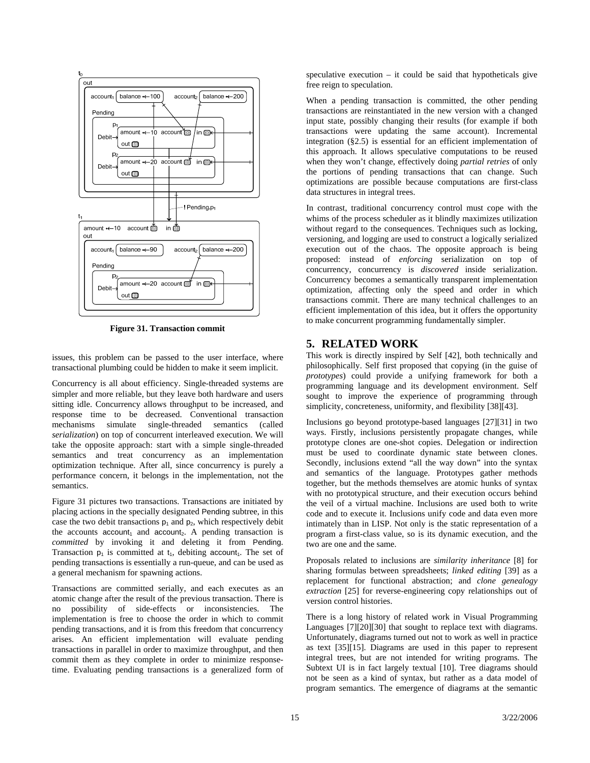<span id="page-16-0"></span>

**Figure 31. Transaction commit** 

<span id="page-16-1"></span>issues, this problem can be passed to the user interface, where transactional plumbing could be hidden to make it seem implicit.

Concurrency is all about efficiency. Single-threaded systems are simpler and more reliable, but they leave both hardware and users sitting idle. Concurrency allows throughput to be increased, and response time to be decreased. Conventional transaction mechanisms simulate single-threaded semantics (called *serialization*) on top of concurrent interleaved execution. We will take the opposite approach: start with a simple single-threaded semantics and treat concurrency as an implementation optimization technique. After all, since concurrency is purely a performance concern, it belongs in the implementation, not the semantics.

[Figure 31](#page-16-1) pictures two transactions. Transactions are initiated by placing actions in the specially designated Pending subtree, in this case the two debit transactions  $p_1$  and  $p_2$ , which respectively debit the accounts account<sub>1</sub> and account<sub>2</sub>. A pending transaction is *committed* by invoking it and deleting it from Pending. Transaction  $p_1$  is committed at  $t_1$ , debiting account<sub>1</sub>. The set of pending transactions is essentially a run-queue, and can be used as a general mechanism for spawning actions.

Transactions are committed serially, and each executes as an atomic change after the result of the previous transaction. There is no possibility of side-effects or inconsistencies. The implementation is free to choose the order in which to commit pending transactions, and it is from this freedom that concurrency arises. An efficient implementation will evaluate pending transactions in parallel in order to maximize throughput, and then commit them as they complete in order to minimize responsetime. Evaluating pending transactions is a generalized form of

speculative execution – it could be said that hypotheticals give free reign to speculation.

When a pending transaction is committed, the other pending transactions are reinstantiated in the new version with a changed input state, possibly changing their results (for example if both transactions were updating the same account). Incremental integration ([§2.5](#page-7-3)) is essential for an efficient implementation of this approach. It allows speculative computations to be reused when they won't change, effectively doing *partial retries* of only the portions of pending transactions that can change. Such optimizations are possible because computations are first-class data structures in integral trees.

In contrast, traditional concurrency control must cope with the whims of the process scheduler as it blindly maximizes utilization without regard to the consequences. Techniques such as locking, versioning, and logging are used to construct a logically serialized execution out of the chaos. The opposite approach is being proposed: instead of *enforcing* serialization on top of concurrency, concurrency is *discovered* inside serialization. Concurrency becomes a semantically transparent implementation optimization, affecting only the speed and order in which transactions commit. There are many technical challenges to an efficient implementation of this idea, but it offers the opportunity to make concurrent programming fundamentally simpler.

# **5. RELATED WORK**

This work is directly inspired by Self [\[42\]](#page-19-5), both technically and philosophically. Self first proposed that copying (in the guise of *prototypes*) could provide a unifying framework for both a programming language and its development environment. Self sought to improve the experience of programming through simplicity, concreteness, uniformity, and flexibility [\[38\]](#page-19-6)[\[43\].](#page-19-7)

Inclusions go beyond prototype-based languages [\[27\]](#page-18-18)[\[31\]](#page-18-8) in two ways. Firstly, inclusions persistently propagate changes, while prototype clones are one-shot copies. Delegation or indirection must be used to coordinate dynamic state between clones. Secondly, inclusions extend "all the way down" into the syntax and semantics of the language. Prototypes gather methods together, but the methods themselves are atomic hunks of syntax with no prototypical structure, and their execution occurs behind the veil of a virtual machine. Inclusions are used both to write code and to execute it. Inclusions unify code and data even more intimately than in LISP. Not only is the static representation of a program a first-class value, so is its dynamic execution, and the two are one and the same.

Proposals related to inclusions are *similarity inheritance* [\[8\]](#page-17-5) for sharing formulas between spreadsheets; *linked editing* [\[39\]](#page-19-1) as a replacement for functional abstraction; and *clone genealogy extraction* [\[25\]](#page-18-11) for reverse-engineering copy relationships out of version control histories.

There is a long history of related work in Visual Programming Languages [\[7\]](#page-17-6)[\[20\]](#page-18-1)[\[30\]](#page-18-17) that sought to replace text with diagrams. Unfortunately, diagrams turned out not to work as well in practice as text [\[35\]](#page-18-19)[\[15\].](#page-18-20) Diagrams are used in this paper to represent integral trees, but are not intended for writing programs. The Subtext UI is in fact largely textual [\[10\]](#page-18-0). Tree diagrams should not be seen as a kind of syntax, but rather as a data model of program semantics. The emergence of diagrams at the semantic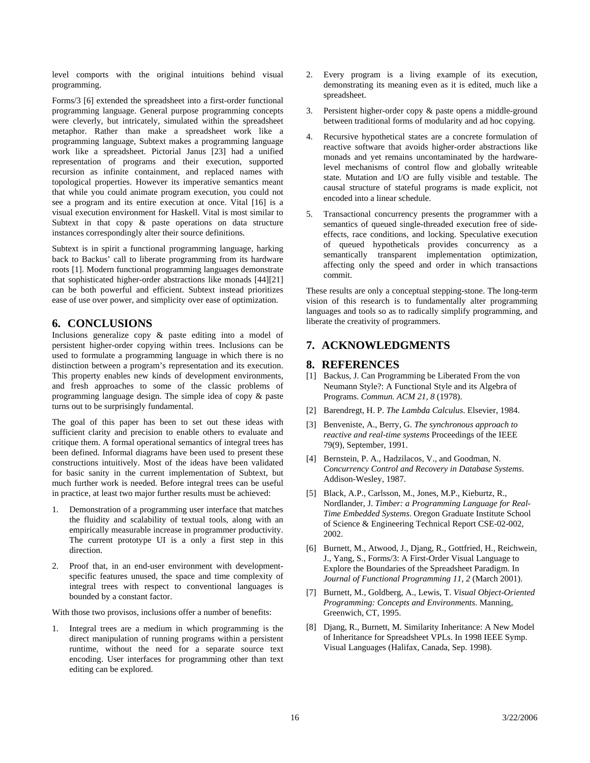<span id="page-17-0"></span>level comports with the original intuitions behind visual programming.

Forms/3 [\[6\]](#page-17-1) extended the spreadsheet into a first-order functional programming language. General purpose programming concepts were cleverly, but intricately, simulated within the spreadsheet metaphor. Rather than make a spreadsheet work like a programming language, Subtext makes a programming language work like a spreadsheet. Pictorial Janus [\[23\]](#page-18-21) had a unified representation of programs and their execution, supported recursion as infinite containment, and replaced names with topological properties. However its imperative semantics meant that while you could animate program execution, you could not see a program and its entire execution at once. Vital [\[16\]](#page-18-22) is a visual execution environment for Haskell. Vital is most similar to Subtext in that copy  $\&$  paste operations on data structure instances correspondingly alter their source definitions.

Subtext is in spirit a functional programming language, harking back to Backus' call to liberate programming from its hardware roots [\[1\]](#page-17-7). Modern functional programming languages demonstrate that sophisticated higher-order abstractions like monads [\[44\]](#page-19-3)[\[21\]](#page-18-14) can be both powerful and efficient. Subtext instead prioritizes ease of use over power, and simplicity over ease of optimization.

# **6. CONCLUSIONS**

<span id="page-17-7"></span>Inclusions generalize copy & paste editing into a model of persistent higher-order copying within trees. Inclusions can be used to formulate a programming language in which there is no distinction between a program's representation and its execution. This property enables new kinds of development environments, and fresh approaches to some of the classic problems of programming language design. The simple idea of copy & paste turns out to be surprisingly fundamental.

<span id="page-17-4"></span><span id="page-17-3"></span><span id="page-17-2"></span>The goal of this paper has been to set out these ideas with sufficient clarity and precision to enable others to evaluate and critique them. A formal operational semantics of integral trees has been defined. Informal diagrams have been used to present these constructions intuitively. Most of the ideas have been validated for basic sanity in the current implementation of Subtext, but much further work is needed. Before integral trees can be useful in practice, at least two major further results must be achieved:

- 1. Demonstration of a programming user interface that matches the fluidity and scalability of textual tools, along with an empirically measurable increase in programmer productivity. The current prototype UI is a only a first step in this direction.
- <span id="page-17-1"></span>2. Proof that, in an end-user environment with developmentspecific features unused, the space and time complexity of integral trees with respect to conventional languages is bounded by a constant factor.

<span id="page-17-6"></span>With those two provisos, inclusions offer a number of benefits:

<span id="page-17-5"></span>1. Integral trees are a medium in which programming is the direct manipulation of running programs within a persistent runtime, without the need for a separate source text encoding. User interfaces for programming other than text editing can be explored.

- 2. Every program is a living example of its execution, demonstrating its meaning even as it is edited, much like a spreadsheet.
- 3. Persistent higher-order copy & paste opens a middle-ground between traditional forms of modularity and ad hoc copying.
- Recursive hypothetical states are a concrete formulation of reactive software that avoids higher-order abstractions like monads and yet remains uncontaminated by the hardwarelevel mechanisms of control flow and globally writeable state. Mutation and I/O are fully visible and testable. The causal structure of stateful programs is made explicit, not encoded into a linear schedule.
- 5. Transactional concurrency presents the programmer with a semantics of queued single-threaded execution free of sideeffects, race conditions, and locking. Speculative execution of queued hypotheticals provides concurrency as a semantically transparent implementation optimization, affecting only the speed and order in which transactions commit.

These results are only a conceptual stepping-stone. The long-term vision of this research is to fundamentally alter programming languages and tools so as to radically simplify programming, and liberate the creativity of programmers.

# **7. ACKNOWLEDGMENTS**

### **8. REFERENCES**

- [1] Backus, J. Can Programming be Liberated From the von Neumann Style?: A Functional Style and its Algebra of Programs. *Commun. ACM 21, 8* (1978).
- [2] Barendregt, H. P. *The Lambda Calculus*. Elsevier, 1984.
- [3] Benveniste, A., Berry, G. *The synchronous approach to reactive and real-time systems* Proceedings of the IEEE 79(9), September, 1991.
- [4] Bernstein, P. A., Hadzilacos, V., and Goodman, N. *Concurrency Control and Recovery in Database Systems*. Addison-Wesley, 1987.
- [5] Black, A.P., Carlsson, M., Jones, M.P., Kieburtz, R., Nordlander, J. *Timber: a Programming Language for Real-Time Embedded Systems*. Oregon Graduate Institute School of Science & Engineering Technical Report CSE-02-002, 2002.
- [6] Burnett, M., Atwood, J., Djang, R., Gottfried, H., Reichwein, J., Yang, S., Forms/3: A First-Order Visual Language to Explore the Boundaries of the Spreadsheet Paradigm. In *Journal of Functional Programming 11, 2* (March 2001).
- [7] Burnett, M., Goldberg, A., Lewis, T. *Visual Object-Oriented Programming: Concepts and Environments*. Manning, Greenwich, CT, 1995.
- [8] Djang, R., Burnett, M. Similarity Inheritance: A New Model of Inheritance for Spreadsheet VPLs. In 1998 IEEE Symp. Visual Languages (Halifax, Canada, Sep. 1998).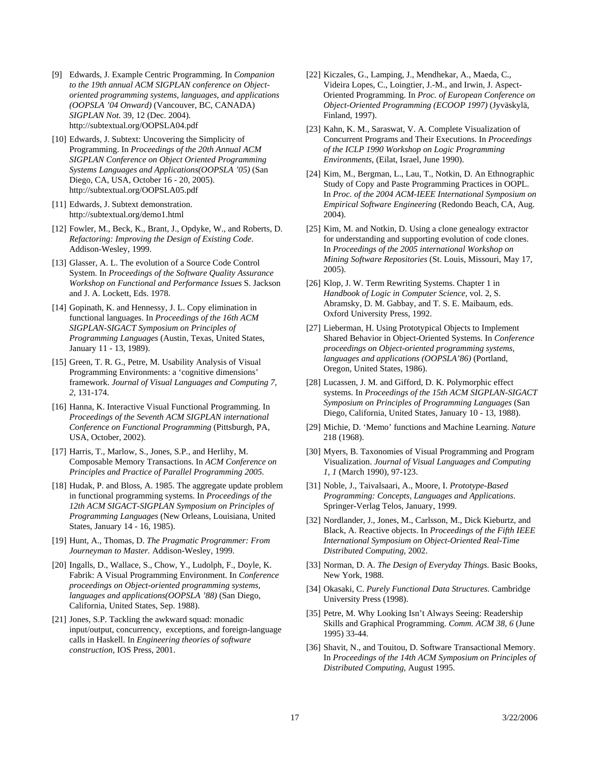- <span id="page-18-3"></span>[9] Edwards, J. Example Centric Programming. In *Companion to the 19th annual ACM SIGPLAN conference on Objectoriented programming systems, languages, and applications (OOPSLA '04 Onward)* (Vancouver, BC, CANADA) *SIGPLAN Not.* 39, 12 (Dec. 2004). <http://subtextual.org/OOPSLA04.pdf>
- <span id="page-18-21"></span><span id="page-18-2"></span><span id="page-18-0"></span>[10] Edwards, J. Subtext: Uncovering the Simplicity of Programming. In *Proceedings of the 20th Annual ACM SIGPLAN Conference on Object Oriented Programming Systems Languages and Applications(OOPSLA '05)* (San Diego, CA, USA, October 16 - 20, 2005). <http://subtextual.org/OOPSLA05.pdf>
- <span id="page-18-4"></span>[11] Edwards, J. Subtext demonstration. http://subtextual.org/demo1.html
- <span id="page-18-11"></span>[12] Fowler, M., Beck, K., Brant, J., Opdyke, W., and Roberts, D. *Refactoring: Improving the Design of Existing Code*. Addison-Wesley, 1999.
- <span id="page-18-6"></span><span id="page-18-5"></span>[13] Glasser, A. L. The evolution of a Source Code Control System. In *Proceedings of the Software Quality Assurance Workshop on Functional and Performance Issues* S. Jackson and J. A. Lockett, Eds. 1978.
- <span id="page-18-18"></span><span id="page-18-7"></span>[14] Gopinath, K. and Hennessy, J. L. Copy elimination in functional languages. In *Proceedings of the 16th ACM SIGPLAN-SIGACT Symposium on Principles of Programming Languages* (Austin, Texas, United States, January 11 - 13, 1989).
- <span id="page-18-20"></span><span id="page-18-10"></span>[15] Green, T. R. G., Petre, M. Usability Analysis of Visual Programming Environments: a 'cognitive dimensions' framework. *Journal of Visual Languages and Computing 7, 2*, 131-174.
- <span id="page-18-22"></span><span id="page-18-13"></span>[16] Hanna, K. Interactive Visual Functional Programming. In *Proceedings of the Seventh ACM SIGPLAN international Conference on Functional Programming* (Pittsburgh, PA, USA, October, 2002).
- <span id="page-18-17"></span>[17] Harris, T., Marlow, S., Jones, S.P., and Herlihy, M. [Composable Memory Transactions.](http://research.microsoft.com/Users/simonpj/papers/stm/stm.pdf) In *ACM Conference on Principles and Practice of Parallel Programming 2005*.
- <span id="page-18-8"></span>[18] Hudak, P. and Bloss, A. 1985. The aggregate update problem in functional programming systems. In *Proceedings of the 12th ACM SIGACT-SIGPLAN Symposium on Principles of Programming Languages* (New Orleans, Louisiana, United States, January 14 - 16, 1985).
- <span id="page-18-15"></span><span id="page-18-12"></span>[19] Hunt, A., Thomas, D. *The Pragmatic Programmer: From Journeyman to Master.* Addison-Wesley, 1999.
- <span id="page-18-9"></span><span id="page-18-1"></span>[20] Ingalls, D., Wallace, S., Chow, Y., Ludolph, F., Doyle, K. Fabrik: A Visual Programming Environment. In *Conference proceedings on Object-oriented programming systems, languages and applications(OOPSLA '88)* (San Diego, California, United States, Sep. 1988).
- <span id="page-18-19"></span><span id="page-18-16"></span><span id="page-18-14"></span>[21] Jones, S.P. Tackling the awkward squad: monadic input/output, concurrency, exceptions, and foreign-language calls in Haskell. In *Engineering theories of software construction*, IOS Press, 2001.
- [22] Kiczales, G., Lamping, J., Mendhekar, A., Maeda, C., Videira Lopes, C., Loingtier, J.-M., and Irwin, J. Aspect-Oriented Programming. In *Proc. of European Conference on Object-Oriented Programming (ECOOP 1997)* (Jyväskylä, Finland, 1997).
- [23] Kahn, K. M., Saraswat, V. A. Complete Visualization of Concurrent Programs and Their Executions. In *Proceedings of the ICLP 1990 Workshop on Logic Programming Environments*, (Eilat, Israel, June 1990).
- [24] Kim, M., Bergman, L., Lau, T., Notkin, D. An Ethnographic Study of Copy and Paste Programming Practices in OOPL. In *Proc. of the 2004 ACM-IEEE International Symposium on Empirical Software Engineering* (Redondo Beach, CA, Aug. 2004).
- [25] Kim, M. and Notkin, D. Using a clone genealogy extractor for understanding and supporting evolution of code clones. In *Proceedings of the 2005 international Workshop on Mining Software Repositories* (St. Louis, Missouri, May 17, 2005).
- [26] Klop, J. W. Term Rewriting Systems. Chapter 1 in *Handbook of Logic in Computer Science,* vol. 2, S. Abramsky, D. M. Gabbay, and T. S. E. Maibaum, eds. Oxford University Press, 1992.
- [27] Lieberman, H. Using Prototypical Objects to Implement Shared Behavior in Object-Oriented Systems. In *Conference proceedings on Object-oriented programming systems, languages and applications (OOPSLA'86)* (Portland, Oregon, United States, 1986).
- [28] Lucassen, J. M. and Gifford, D. K. Polymorphic effect systems. In *Proceedings of the 15th ACM SIGPLAN-SIGACT Symposium on Principles of Programming Languages* (San Diego, California, United States, January 10 - 13, 1988).
- [29] Michie, D. 'Memo' functions and Machine Learning. *Nature* 218 (1968).
- [30] Myers, B. Taxonomies of Visual Programming and Program Visualization. *Journal of Visual Languages and Computing 1, 1* (March 1990), 97-123.
- [31] Noble, J., Taivalsaari, A., Moore, I. *Prototype-Based Programming: Concepts, Languages and Applications*. Springer-Verlag Telos, January, 1999.
- [32] Nordlander, J., Jones, M., Carlsson, M., Dick Kieburtz, and Black, A. Reactive objects. In *Proceedings of the Fifth IEEE International Symposium on Object-Oriented Real-Time Distributed Computing*, 2002.
- [33] Norman, D. A. *The Design of Everyday Things.* Basic Books, New York, 1988.
- [34] Okasaki, C. *Purely Functional Data Structures*. Cambridge University Press (1998).
- [35] Petre, M. Why Looking Isn't Always Seeing: Readership Skills and Graphical Programming. *Comm. ACM 38, 6* (June 1995) 33-44.
- [36] Shavit, N., and Touitou, D. [Software Transactional Memory.](http://citeseer.ist.psu.edu/shavit95software.html) In *Proceedings of the 14th ACM Symposium on Principles of Distributed Computing*, August 1995.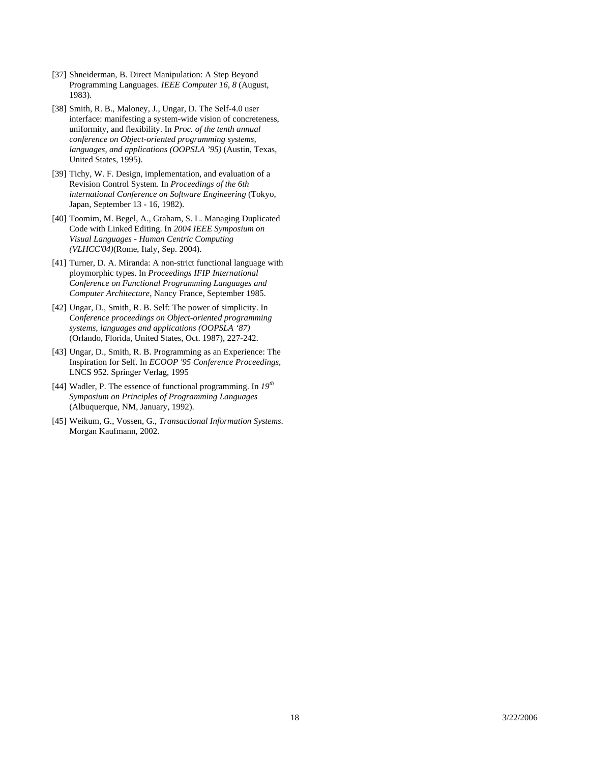- <span id="page-19-0"></span>[37] Shneiderman, B. Direct Manipulation: A Step Beyond Programming Languages. *IEEE Computer 16, 8* (August, 1983).
- <span id="page-19-6"></span>[38] Smith, R. B., Maloney, J., Ungar, D. The Self-4.0 user interface: manifesting a system-wide vision of concreteness, uniformity, and flexibility. In *Proc. of the tenth annual conference on Object-oriented programming systems, languages, and applications (OOPSLA '95)* (Austin, Texas, United States, 1995).
- <span id="page-19-1"></span>[39] Tichy, W. F. Design, implementation, and evaluation of a Revision Control System. In *Proceedings of the 6th international Conference on Software Engineering* (Tokyo, Japan, September 13 - 16, 1982).
- [40] Toomim, M. Begel, A., Graham, S. L. Managing Duplicated Code with Linked Editing. In *2004 IEEE Symposium on Visual Languages - Human Centric Computing (VLHCC'04)*(Rome, Italy, Sep. 2004).
- <span id="page-19-2"></span>[41] Turner, D. A. Miranda: A non-strict functional language with ploymorphic types. In *Proceedings IFIP International Conference on Functional Programming Languages and Computer Architecture*, Nancy France, September 1985.
- <span id="page-19-5"></span>[42] Ungar, D., Smith, R. B. Self: The power of simplicity. In *Conference proceedings on Object-oriented programming systems, languages and applications (OOPSLA '87)* (Orlando, Florida, United States, Oct. 1987), 227-242.
- <span id="page-19-7"></span>[43] Ungar, D., Smith, R. B. Programming as an Experience: The Inspiration for Self. In *ECOOP '95 Conference Proceedings,*  LNCS 952. Springer Verlag, 1995
- <span id="page-19-3"></span>[44] Wadler, P. The essence of functional programming. In *19th Symposium on Principles of Programming Languages* (Albuquerque, NM, January, 1992).
- <span id="page-19-4"></span>[45] Weikum, G., Vossen, G., *Transactional Information Systems*. Morgan Kaufmann, 2002.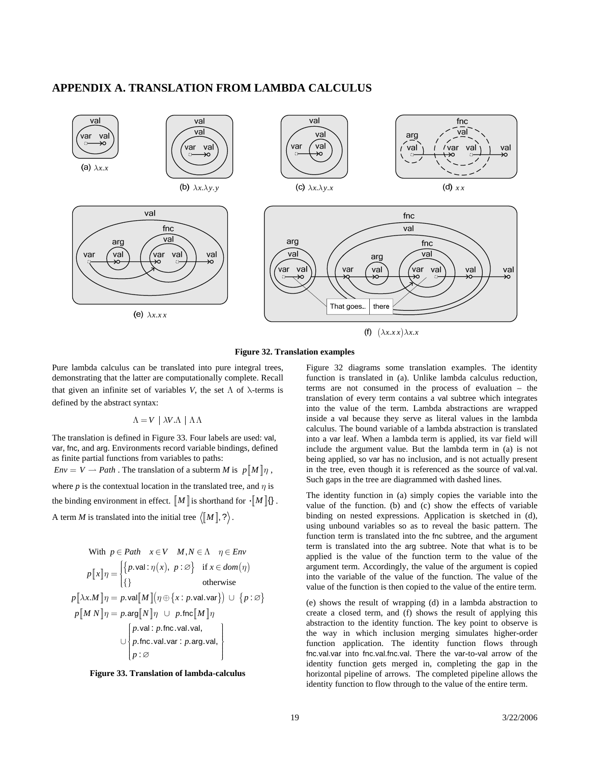# <span id="page-20-0"></span>**APPENDIX A. TRANSLATION FROM LAMBDA CALCULUS**



**Figure 32. Translation examples** 

<span id="page-20-2"></span>Pure lambda calculus can be translated into pure integral trees, demonstrating that the latter are computationally complete. Recall that given an infinite set of variables *V*, the set  $\Lambda$  of  $\lambda$ -terms is defined by the abstract syntax:

#### $Λ = V$  |  $λV$ *λ* |  $Λ$  $Λ$

The translation is defined in [Figure 33](#page-20-1). Four labels are used: val, var, fnc, and arg. Environments record variable bindings, defined as finite partial functions from variables to paths:

 $Env = V \rightarrow Path$ . The translation of a subterm *M* is  $p \llbracket M \rrbracket \eta$ ,

where *p* is the contextual location in the translated tree, and  $\eta$  is the binding environment in effect.  $\llbracket M \rrbracket$  is shorthand for  $\cdot \llbracket M \rrbracket$  {}. A term *M* is translated into the initial tree  $\langle M \rangle$ , ?).

With 
$$
p \in Path \quad x \in V \quad M, N \in \Lambda \quad \eta \in Env
$$
  
\n
$$
p[\![x]\!] \eta = \begin{cases} \{p.\text{val}: \eta(x), \ p:\varnothing\} & \text{if } x \in dom(\eta) \\ \{\}\end{cases}
$$
\notherwise  
\n
$$
p[\![\lambda x. M]\!] \eta = p.\text{val}[\![M]\!] (\eta \oplus \{x : p.\text{val}.\text{var}\}) \cup \{p : \varnothing\}
$$
\n
$$
p[\![M \ N]\!] \eta = p.\text{arg}[\![N]\!] \eta \cup p.\text{fnc}[\![M]\!] \eta
$$
\n
$$
\bigcup \begin{cases} p.\text{val}: p.\text{fnc}.\text{val}.\text{val}, \\ p.\text{fnc}.\text{val}.\text{var}: p.\text{arg}.\text{val}, \\ p:\varnothing \end{cases}
$$

<span id="page-20-1"></span>

[Figure 32](#page-20-2) diagrams some translation examples. The identity function is translated in (a). Unlike lambda calculus reduction, terms are not consumed in the process of evaluation – the translation of every term contains a val subtree which integrates into the value of the term. Lambda abstractions are wrapped inside a val because they serve as literal values in the lambda calculus. The bound variable of a lambda abstraction is translated into a var leaf. When a lambda term is applied, its var field will include the argument value. But the lambda term in (a) is not being applied, so var has no inclusion, and is not actually present in the tree, even though it is referenced as the source of val.val. Such gaps in the tree are diagrammed with dashed lines.

The identity function in (a) simply copies the variable into the value of the function. (b) and (c) show the effects of variable binding on nested expressions. Application is sketched in (d), using unbound variables so as to reveal the basic pattern. The function term is translated into the fnc subtree, and the argument term is translated into the arg subtree. Note that what is to be applied is the value of the function term to the value of the argument term. Accordingly, the value of the argument is copied into the variable of the value of the function. The value of the value of the function is then copied to the value of the entire term.

th e way in which inclusion merging simulates higher-order function application. The identity function flows through fn c.val.var into fnc.val.fnc.val. There the var-to-val arrow of the <sup>∅</sup> (e) shows the result of wrapping (d) in a lambda abstraction to create a closed term, and (f) shows the result of applying this abstraction to the identity function. The key point to observe is identity function gets merged in, completing the gap in the horizontal pipeline of arrows. The completed pipeline allows the identity function to flow through to the value of the entire term.